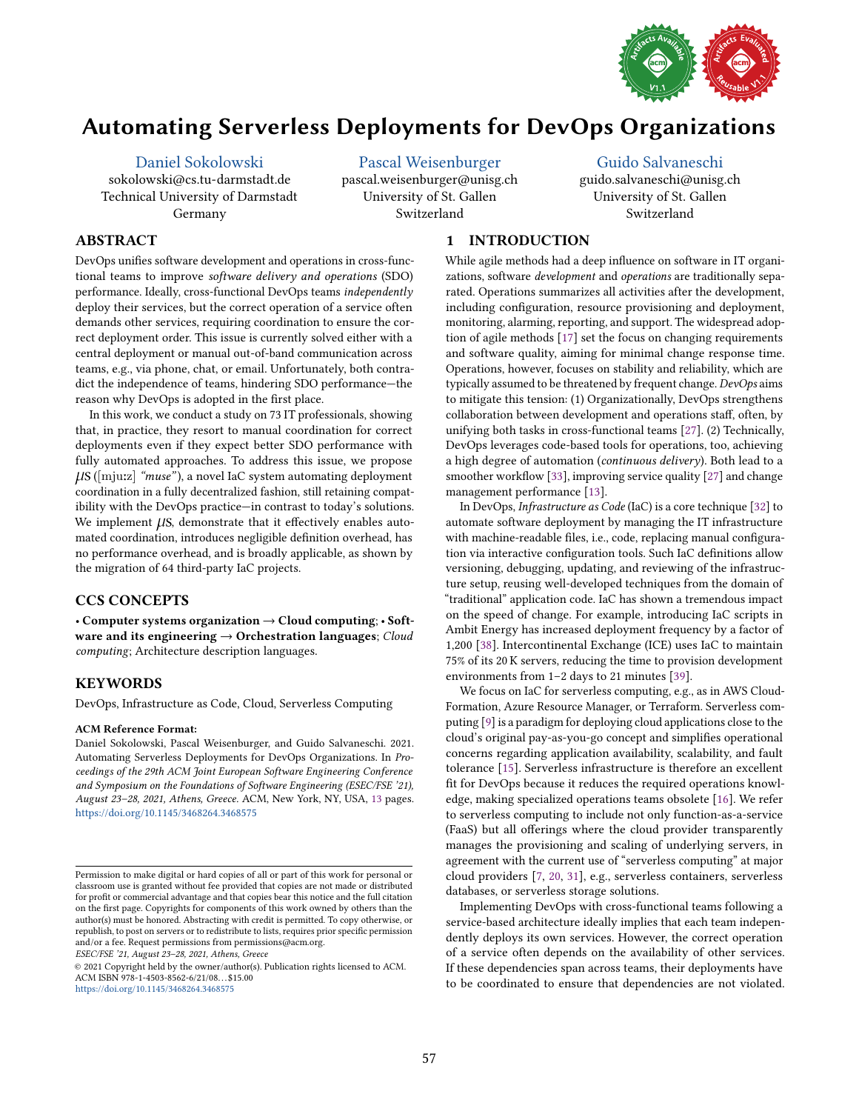

# <span id="page-0-0"></span>Automating Serverless Deployments for DevOps Organizations

[Daniel Sokolowski](https://orcid.org/0000-0003-2911-8304) sokolowski@cs.tu-darmstadt.de Technical University of Darmstadt Germany

[Pascal Weisenburger](https://orcid.org/0000-0003-1288-1485) pascal.weisenburger@unisg.ch University of St. Gallen Switzerland

# [Guido Salvaneschi](https://orcid.org/0000-0002-9324-8894)

guido.salvaneschi@unisg.ch University of St. Gallen Switzerland

# ABSTRACT

DevOps unifies software development and operations in cross-functional teams to improve software delivery and operations (SDO) performance. Ideally, cross-functional DevOps teams independently deploy their services, but the correct operation of a service often demands other services, requiring coordination to ensure the correct deployment order. This issue is currently solved either with a central deployment or manual out-of-band communication across teams, e.g., via phone, chat, or email. Unfortunately, both contradict the independence of teams, hindering SDO performance-the reason why DevOps is adopted in the first place.

In this work, we conduct a study on 73 IT professionals, showing that, in practice, they resort to manual coordination for correct deployments even if they expect better SDO performance with fully automated approaches. To address this issue, we propose  $\mu$ S ([mju:z] "muse"), a novel IaC system automating deployment coordination in a fully decentralized fashion, still retaining compatibility with the DevOps practice-in contrast to today's solutions. We implement  $\mu$ S, demonstrate that it effectively enables automated coordination, introduces negligible definition overhead, has no performance overhead, and is broadly applicable, as shown by the migration of 64 third-party IaC projects.

# CCS CONCEPTS

• Computer systems organization → Cloud computing; • Software and its engineering  $\rightarrow$  Orchestration languages; Cloud computing; Architecture description languages.

# **KEYWORDS**

DevOps, Infrastructure as Code, Cloud, Serverless Computing

#### ACM Reference Format:

Daniel Sokolowski, Pascal Weisenburger, and Guido Salvaneschi. 2021. Automating Serverless Deployments for DevOps Organizations. In Proceedings of the 29th ACM Joint European Software Engineering Conference and Symposium on the Foundations of Software Engineering (ESEC/FSE '21), August 23-28, 2021, Athens, Greece. ACM, New York, NY, USA, [13](#page-12-0) pages. <https://doi.org/10.1145/3468264.3468575>

ESEC/FSE '21, August 23-28, 2021, Athens, Greece

© 2021 Copyright held by the owner/author(s). Publication rights licensed to ACM. ACM ISBN 978-1-4503-8562-6/21/08. . . \$15.00 <https://doi.org/10.1145/3468264.3468575>

1 INTRODUCTION

While agile methods had a deep influence on software in IT organizations, software development and operations are traditionally separated. Operations summarizes all activities after the development, including configuration, resource provisioning and deployment, monitoring, alarming, reporting, and support. The widespread adoption of agile methods [\[17\]](#page-11-0) set the focus on changing requirements and software quality, aiming for minimal change response time. Operations, however, focuses on stability and reliability, which are typically assumed to be threatened by frequent change. DevOps aims to mitigate this tension: (1) Organizationally, DevOps strengthens collaboration between development and operations staff, often, by unifying both tasks in cross-functional teams [\[27\]](#page-11-1). (2) Technically, DevOps leverages code-based tools for operations, too, achieving a high degree of automation (continuous delivery). Both lead to a smoother workflow [\[33\]](#page-11-2), improving service quality [\[27\]](#page-11-1) and change management performance [\[13\]](#page-11-3).

In DevOps, Infrastructure as Code (IaC) is a core technique [\[32\]](#page-11-4) to automate software deployment by managing the IT infrastructure with machine-readable files, i.e., code, replacing manual configuration via interactive configuration tools. Such IaC definitions allow versioning, debugging, updating, and reviewing of the infrastructure setup, reusing well-developed techniques from the domain of "traditional" application code. IaC has shown a tremendous impact on the speed of change. For example, introducing IaC scripts in Ambit Energy has increased deployment frequency by a factor of 1,200 [\[38\]](#page-11-5). Intercontinental Exchange (ICE) uses IaC to maintain 75% of its 20 K servers, reducing the time to provision development environments from  $1-2$  days to 21 minutes [\[39\]](#page-11-6).

We focus on IaC for serverless computing, e.g., as in AWS Cloud-Formation, Azure Resource Manager, or Terraform. Serverless computing [\[9\]](#page-11-7) is a paradigm for deploying cloud applications close to the cloud's original pay-as-you-go concept and simplifies operational concerns regarding application availability, scalability, and fault tolerance [\[15\]](#page-11-8). Serverless infrastructure is therefore an excellent fit for DevOps because it reduces the required operations knowledge, making specialized operations teams obsolete [\[16\]](#page-11-9). We refer to serverless computing to include not only function-as-a-service (FaaS) but all offerings where the cloud provider transparently manages the provisioning and scaling of underlying servers, in agreement with the current use of "serverless computing" at major cloud providers [\[7,](#page-11-10) [20,](#page-11-11) [31\]](#page-11-12), e.g., serverless containers, serverless databases, or serverless storage solutions.

Implementing DevOps with cross-functional teams following a service-based architecture ideally implies that each team independently deploys its own services. However, the correct operation of a service often depends on the availability of other services. If these dependencies span across teams, their deployments have to be coordinated to ensure that dependencies are not violated.

Permission to make digital or hard copies of all or part of this work for personal or classroom use is granted without fee provided that copies are not made or distributed for profit or commercial advantage and that copies bear this notice and the full citation on the first page. Copyrights for components of this work owned by others than the author(s) must be honored. Abstracting with credit is permitted. To copy otherwise, or republish, to post on servers or to redistribute to lists, requires prior specific permission and/or a fee. Request permissions from permissions@acm.org.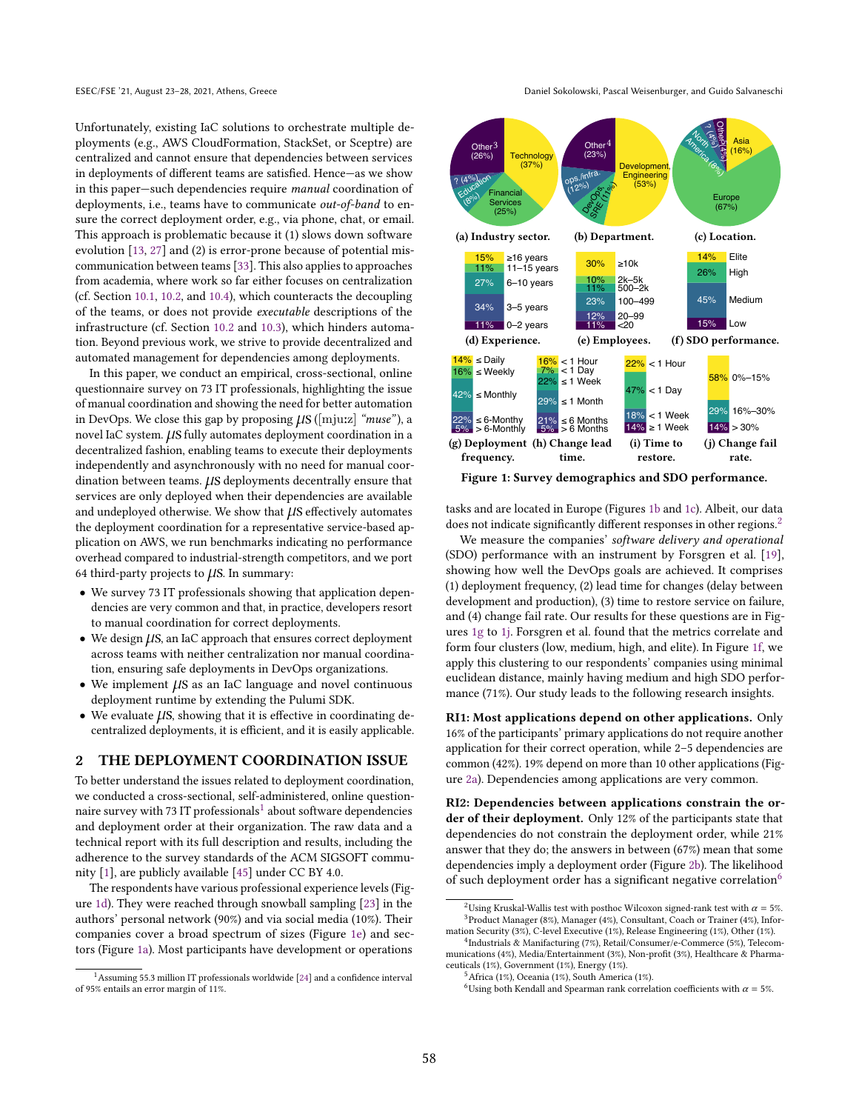Unfortunately, existing IaC solutions to orchestrate multiple deployments (e.g., AWS CloudFormation, StackSet, or Sceptre) are centralized and cannot ensure that dependencies between services in deployments of different teams are satisfied. Hence-as we show in this paper-such dependencies require *manual* coordination of deployments, i.e., teams have to communicate out-of-band to ensure the correct deployment order, e.g., via phone, chat, or email. This approach is problematic because it (1) slows down software evolution [\[13,](#page-11-3) [27\]](#page-11-1) and (2) is error-prone because of potential miscommunication between teams [\[33\]](#page-11-2). This also applies to approaches from academia, where work so far either focuses on centralization (cf. Section [10.1,](#page-9-0) [10.2,](#page-10-0) and [10.4\)](#page-10-1), which counteracts the decoupling of the teams, or does not provide executable descriptions of the infrastructure (cf. Section [10.2](#page-10-0) and [10.3\)](#page-10-2), which hinders automation. Beyond previous work, we strive to provide decentralized and automated management for dependencies among deployments.

In this paper, we conduct an empirical, cross-sectional, online questionnaire survey on 73 IT professionals, highlighting the issue of manual coordination and showing the need for better automation in DevOps. We close this gap by proposing  $\mu$ S ([mju:z] "muse"), a novel IaC system.  $\mu$ S fully automates deployment coordination in a decentralized fashion, enabling teams to execute their deployments independently and asynchronously with no need for manual coordination between teams.  $\mu$ S deployments decentrally ensure that services are only deployed when their dependencies are available and undeployed otherwise. We show that  $\mu$ S effectively automates the deployment coordination for a representative service-based application on AWS, we run benchmarks indicating no performance overhead compared to industrial-strength competitors, and we port 64 third-party projects to  $\mu$ S. In summary:

- We survey 73 IT professionals showing that application dependencies are very common and that, in practice, developers resort to manual coordination for correct deployments.
- $\bullet$  We design  $\mu$ S, an IaC approach that ensures correct deployment across teams with neither centralization nor manual coordination, ensuring safe deployments in DevOps organizations.
- $\bullet$  We implement  $\mu$ S as an IaC language and novel continuous deployment runtime by extending the Pulumi SDK.
- We evaluate  $\mu$ S, showing that it is effective in coordinating decentralized deployments, it is efficient, and it is easily applicable.

#### <span id="page-1-3"></span>2 THE DEPLOYMENT COORDINATION ISSUE

To better understand the issues related to deployment coordination, we conducted a cross-sectional, self-administered, online questionnaire survey with 73 IT professionals $^1$  $^1$  about software dependencies and deployment order at their organization. The raw data and a technical report with its full description and results, including the adherence to the survey standards of the ACM SIGSOFT community [\[1\]](#page-11-13), are publicly available [\[45\]](#page-11-14) under CC BY 4.0.

The respondents have various professional experience levels (Figure [1d\)](#page-1-0). They were reached through snowball sampling [\[23\]](#page-11-15) in the authors' personal network (90%) and via social media (10%). Their companies cover a broad spectrum of sizes (Figure [1e\)](#page-1-0) and sectors (Figure [1a\)](#page-1-0). Most participants have development or operations

ESEC/FSE '21, August 23–28, 2021, Athens, Greece Daniel Sokolowski, Pascal Weisenburger, and Guido Salvaneschi

<span id="page-1-0"></span>

Figure 1: Survey demographics and SDO performance.

tasks and are located in Europe (Figures [1b](#page-1-0) and [1c\)](#page-1-0). Albeit, our data does not indicate significantly different responses in other regions.<sup>[2](#page-0-0)</sup>

We measure the companies' software delivery and operational (SDO) performance with an instrument by Forsgren et al. [\[19\]](#page-11-17), showing how well the DevOps goals are achieved. It comprises (1) deployment frequency, (2) lead time for changes (delay between development and production), (3) time to restore service on failure, and (4) change fail rate. Our results for these questions are in Figures [1g](#page-1-0) to [1j.](#page-1-0) Forsgren et al. found that the metrics correlate and form four clusters (low, medium, high, and elite). In Figure [1f,](#page-1-0) we apply this clustering to our respondents' companies using minimal euclidean distance, mainly having medium and high SDO performance (71%). Our study leads to the following research insights.

<span id="page-1-2"></span>RI1: Most applications depend on other applications. Only 16% of the participants' primary applications do not require another application for their correct operation, while 2-5 dependencies are common (42%). 19% depend on more than 10 other applications (Figure [2a\)](#page-2-0). Dependencies among applications are very common.

<span id="page-1-1"></span>RI2: Dependencies between applications constrain the order of their deployment. Only 12% of the participants state that dependencies do not constrain the deployment order, while 21% answer that they do; the answers in between (67%) mean that some dependencies imply a deployment order (Figure [2b\)](#page-2-0). The likelihood of such deployment order has a significant negative correlation<sup>[6](#page-0-0)</sup>

 $1$ Assuming 55.3 million IT professionals worldwide [\[24\]](#page-11-16) and a confidence interval of 95% entails an error margin of 11%.

<sup>&</sup>lt;sup>2</sup>Using Kruskal-Wallis test with posthoc Wilcoxon signed-rank test with  $\alpha = 5\%$ . <sup>3</sup>Product Manager (8%), Manager (4%), Consultant, Coach or Trainer (4%), Information Security (3%), C-level Executive (1%), Release Engineering (1%), Other (1%).

<sup>4</sup> Industrials & Manifacturing (7%), Retail/Consumer/e-Commerce (5%), Telecommunications (4%), Media/Entertainment (3%), Non-profit (3%), Healthcare & Pharmaceuticals (1%), Government (1%), Energy (1%).

 $^5$ Africa (1%), Oceania (1%), South America (1%).

<sup>&</sup>lt;sup>6</sup>Using both Kendall and Spearman rank correlation coefficients with  $\alpha = 5\%$ .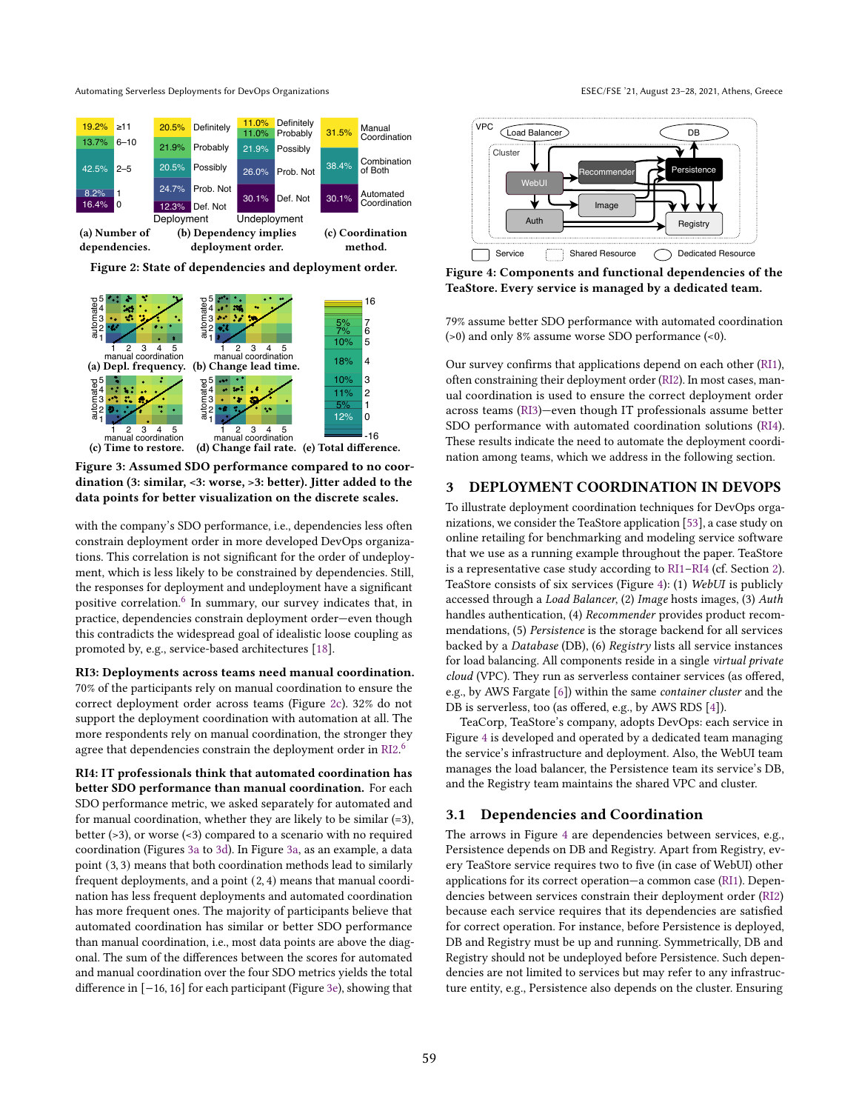<span id="page-2-0"></span>

Figure 2: State of dependencies and deployment order.

<span id="page-2-1"></span>

Figure 3: Assumed SDO performance compared to no coordination (3: similar, <3: worse, >3: better). Jitter added to the data points for better visualization on the discrete scales.

with the company's SDO performance, i.e., dependencies less often constrain deployment order in more developed DevOps organizations. This correlation is not significant for the order of undeployment, which is less likely to be constrained by dependencies. Still, the responses for deployment and undeployment have a significant positive correlation.<sup>[6](#page-0-0)</sup> In summary, our survey indicates that, in practice, dependencies constrain deployment order-even though this contradicts the widespread goal of idealistic loose coupling as promoted by, e.g., service-based architectures [\[18\]](#page-11-18).

<span id="page-2-2"></span>RI3: Deployments across teams need manual coordination. 70% of the participants rely on manual coordination to ensure the correct deployment order across teams (Figure [2c\)](#page-2-0). 32% do not support the deployment coordination with automation at all. The more respondents rely on manual coordination, the stronger they agree that dependencies constrain the deployment order in [RI2.](#page-1-1)<sup>[6](#page-0-0)</sup>

<span id="page-2-3"></span>RI4: IT professionals think that automated coordination has better SDO performance than manual coordination. For each SDO performance metric, we asked separately for automated and for manual coordination, whether they are likely to be similar  $(=3)$ , better (>3), or worse (<3) compared to a scenario with no required coordination (Figures [3a](#page-2-1) to [3d\)](#page-2-1). In Figure [3a,](#page-2-1) as an example, a data point (3, 3) means that both coordination methods lead to similarly frequent deployments, and a point (2, 4) means that manual coordination has less frequent deployments and automated coordination has more frequent ones. The majority of participants believe that automated coordination has similar or better SDO performance than manual coordination, i.e., most data points are above the diagonal. The sum of the differences between the scores for automated and manual coordination over the four SDO metrics yields the total difference in [−16, 16] for each participant (Figure [3e\)](#page-2-1), showing that

<span id="page-2-4"></span>

Figure 4: Components and functional dependencies of the TeaStore. Every service is managed by a dedicated team.

79% assume better SDO performance with automated coordination (>0) and only 8% assume worse SDO performance (<0).

Our survey confirms that applications depend on each other [\(RI1\)](#page-1-2), often constraining their deployment order [\(RI2\)](#page-1-1). In most cases, manual coordination is used to ensure the correct deployment order across teams [\(RI3\)](#page-2-2)-even though IT professionals assume better SDO performance with automated coordination solutions [\(RI4\)](#page-2-3). These results indicate the need to automate the deployment coordination among teams, which we address in the following section.

# <span id="page-2-5"></span>3 DEPLOYMENT COORDINATION IN DEVOPS

To illustrate deployment coordination techniques for DevOps organizations, we consider the TeaStore application [\[53\]](#page-12-1), a case study on online retailing for benchmarking and modeling service software that we use as a running example throughout the paper. TeaStore is a representative case study according to [RI1](#page-1-2)-RI4 (cf. Section [2\)](#page-1-3). TeaStore consists of six services (Figure [4\)](#page-2-4): (1) WebUI is publicly accessed through a Load Balancer, (2) Image hosts images, (3) Auth handles authentication, (4) Recommender provides product recommendations, (5) Persistence is the storage backend for all services backed by a Database (DB), (6) Registry lists all service instances for load balancing. All components reside in a single virtual private cloud (VPC). They run as serverless container services (as offered, e.g., by AWS Fargate [\[6\]](#page-11-19)) within the same container cluster and the DB is serverless, too (as offered, e.g., by AWS RDS [\[4\]](#page-11-20)).

TeaCorp, TeaStore's company, adopts DevOps: each service in Figure [4](#page-2-4) is developed and operated by a dedicated team managing the service's infrastructure and deployment. Also, the WebUI team manages the load balancer, the Persistence team its service's DB, and the Registry team maintains the shared VPC and cluster.

#### 3.1 Dependencies and Coordination

The arrows in Figure [4](#page-2-4) are dependencies between services, e.g., Persistence depends on DB and Registry. Apart from Registry, every TeaStore service requires two to five (in case of WebUI) other applications for its correct operation-a common case [\(RI1\)](#page-1-2). Dependencies between services constrain their deployment order [\(RI2\)](#page-1-1) because each service requires that its dependencies are satisfied for correct operation. For instance, before Persistence is deployed, DB and Registry must be up and running. Symmetrically, DB and Registry should not be undeployed before Persistence. Such dependencies are not limited to services but may refer to any infrastructure entity, e.g., Persistence also depends on the cluster. Ensuring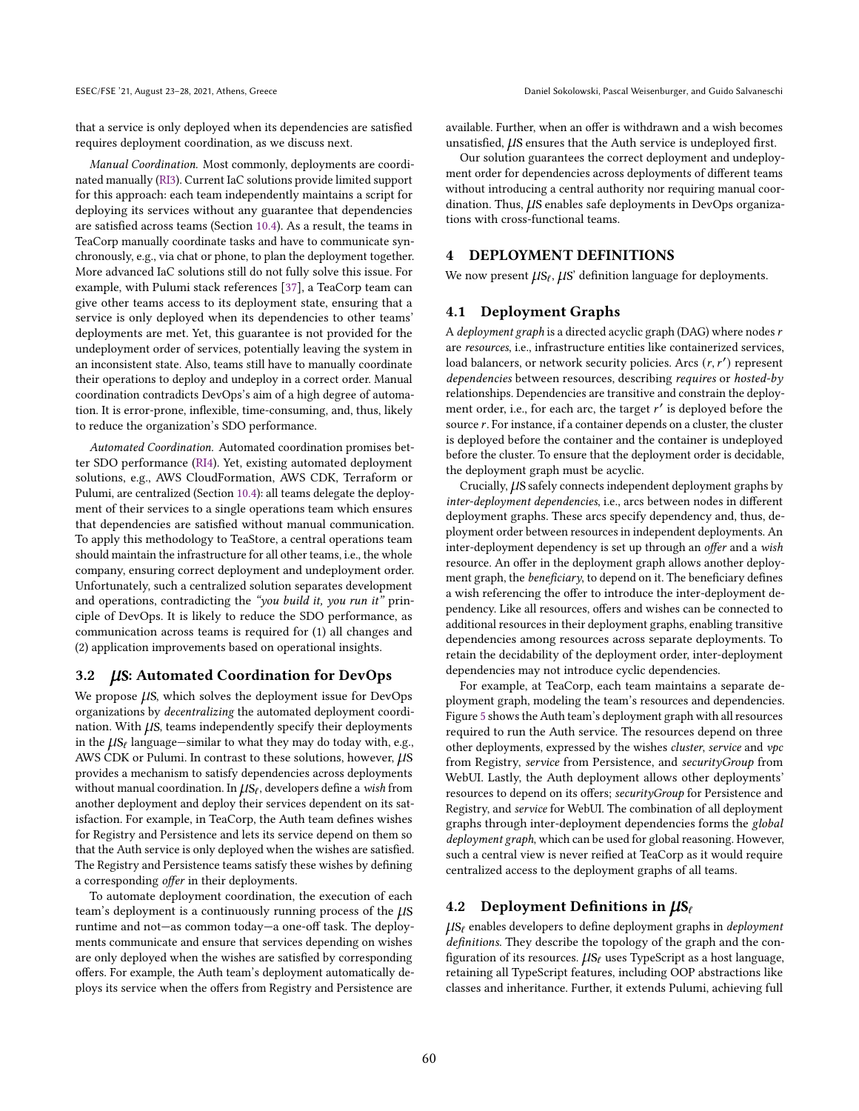that a service is only deployed when its dependencies are satisfied requires deployment coordination, as we discuss next.

Manual Coordination. Most commonly, deployments are coordinated manually [\(RI3\)](#page-2-2). Current IaC solutions provide limited support for this approach: each team independently maintains a script for deploying its services without any guarantee that dependencies are satisfied across teams (Section [10.4\)](#page-10-1). As a result, the teams in TeaCorp manually coordinate tasks and have to communicate synchronously, e.g., via chat or phone, to plan the deployment together. More advanced IaC solutions still do not fully solve this issue. For example, with Pulumi stack references [\[37\]](#page-11-21), a TeaCorp team can give other teams access to its deployment state, ensuring that a service is only deployed when its dependencies to other teams' deployments are met. Yet, this guarantee is not provided for the undeployment order of services, potentially leaving the system in an inconsistent state. Also, teams still have to manually coordinate their operations to deploy and undeploy in a correct order. Manual coordination contradicts DevOps's aim of a high degree of automation. It is error-prone, inflexible, time-consuming, and, thus, likely to reduce the organization's SDO performance.

Automated Coordination. Automated coordination promises better SDO performance [\(RI4\)](#page-2-3). Yet, existing automated deployment solutions, e.g., AWS CloudFormation, AWS CDK, Terraform or Pulumi, are centralized (Section [10.4\)](#page-10-1): all teams delegate the deployment of their services to a single operations team which ensures that dependencies are satisfied without manual communication. To apply this methodology to TeaStore, a central operations team should maintain the infrastructure for all other teams, i.e., the whole company, ensuring correct deployment and undeployment order. Unfortunately, such a centralized solution separates development and operations, contradicting the "you build it, you run it" principle of DevOps. It is likely to reduce the SDO performance, as communication across teams is required for (1) all changes and (2) application improvements based on operational insights.

#### 3.2 *US:* Automated Coordination for DevOps

We propose  $\mu$ S, which solves the deployment issue for DevOps organizations by decentralizing the automated deployment coordination. With  $\mu$ S, teams independently specify their deployments in the  $\mu s_\ell$  language—similar to what they may do today with, e.g., AWS CDK or Pulumi. In contrast to these solutions, however,  $\mu$ S provides a mechanism to satisfy dependencies across deployments without manual coordination. In  $\mu S_\ell$ , developers define a wish from another deployment and deploy their services dependent on its satisfaction. For example, in TeaCorp, the Auth team defines wishes for Registry and Persistence and lets its service depend on them so that the Auth service is only deployed when the wishes are satisfied. The Registry and Persistence teams satisfy these wishes by defining a corresponding offer in their deployments.

To automate deployment coordination, the execution of each team's deployment is a continuously running process of the  $\mu$ S runtime and not-as common today-a one-off task. The deployments communicate and ensure that services depending on wishes are only deployed when the wishes are satisfied by corresponding offers. For example, the Auth team's deployment automatically deploys its service when the offers from Registry and Persistence are

available. Further, when an offer is withdrawn and a wish becomes unsatisfied,  $\mu$ S ensures that the Auth service is undeployed first.

Our solution guarantees the correct deployment and undeployment order for dependencies across deployments of different teams without introducing a central authority nor requiring manual coordination. Thus,  $\mu$ S enables safe deployments in DevOps organizations with cross-functional teams.

# 4 DEPLOYMENT DEFINITIONS

We now present  $\mu s_\ell, \mu s'$  definition language for deployments.

# 4.1 Deployment Graphs

A deployment graph is a directed acyclic graph (DAG) where nodes  $r$ are resources, i.e., infrastructure entities like containerized services, load balancers, or network security policies. Arcs  $(r, r')$  represent dependencies between resources, describing requires or hosted-by relationships. Dependencies are transitive and constrain the deployment order, i.e., for each arc, the target  $r'$  is deployed before the source  $r$ . For instance, if a container depends on a cluster, the cluster is deployed before the container and the container is undeployed before the cluster. To ensure that the deployment order is decidable, the deployment graph must be acyclic.

Crucially,  $\mu$ S safely connects independent deployment graphs by inter-deployment dependencies, i.e., arcs between nodes in different deployment graphs. These arcs specify dependency and, thus, deployment order between resources in independent deployments. An inter-deployment dependency is set up through an offer and a wish resource. An offer in the deployment graph allows another deployment graph, the beneficiary, to depend on it. The beneficiary defines a wish referencing the offer to introduce the inter-deployment dependency. Like all resources, offers and wishes can be connected to additional resources in their deployment graphs, enabling transitive dependencies among resources across separate deployments. To retain the decidability of the deployment order, inter-deployment dependencies may not introduce cyclic dependencies.

For example, at TeaCorp, each team maintains a separate deployment graph, modeling the team's resources and dependencies. Figure [5](#page-4-0) shows the Auth team's deployment graph with all resources required to run the Auth service. The resources depend on three other deployments, expressed by the wishes cluster, service and vpc from Registry, service from Persistence, and securityGroup from WebUI. Lastly, the Auth deployment allows other deployments' resources to depend on its offers; securityGroup for Persistence and Registry, and service for WebUI. The combination of all deployment graphs through inter-deployment dependencies forms the global deployment graph, which can be used for global reasoning. However, such a central view is never reified at TeaCorp as it would require centralized access to the deployment graphs of all teams.

# 4.2 Deployment Definitions in  $\mu S_{\ell}$

 $\mu s_f$  enables developers to define deployment graphs in *deployment* definitions. They describe the topology of the graph and the configuration of its resources.  $\mu s_\ell$  uses TypeScript as a host language, retaining all TypeScript features, including OOP abstractions like classes and inheritance. Further, it extends Pulumi, achieving full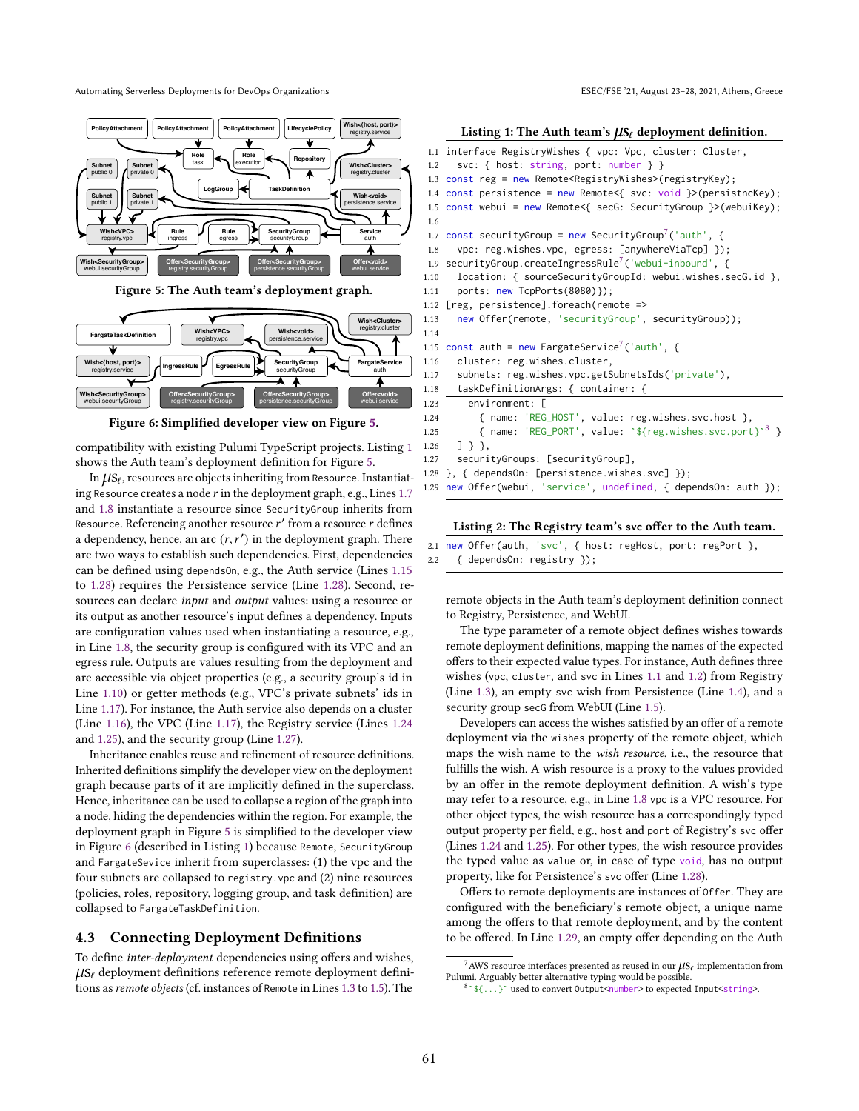<span id="page-4-0"></span>

Figure 5: The Auth team's deployment graph.

<span id="page-4-12"></span>

Figure 6: Simplified developer view on Figure [5.](#page-4-0)

compatibility with existing Pulumi TypeScript projects. Listing [1](#page-4-1) shows the Auth team's deployment definition for Figure [5.](#page-4-0)

In  $\mu$ S $_{\ell}$ , resources are objects inheriting from Resource. Instantiating Resource creates a node  $r$  in the deployment graph, e.g., Lines  $1.7$ and [1.8](#page-4-3) instantiate a resource since SecurityGroup inherits from Resource. Referencing another resource  $r'$  from a resource  $r$  defines a dependency, hence, an arc  $(r, r')$  in the deployment graph. There are two ways to establish such dependencies. First, dependencies can be defined using dependsOn, e.g., the Auth service (Lines [1.15](#page-4-4) to [1.28\)](#page-4-5) requires the Persistence service (Line [1.28\)](#page-4-5). Second, resources can declare input and output values: using a resource or its output as another resource's input defines a dependency. Inputs are configuration values used when instantiating a resource, e.g., in Line [1.8,](#page-4-3) the security group is configured with its VPC and an egress rule. Outputs are values resulting from the deployment and are accessible via object properties (e.g., a security group's id in Line [1.10\)](#page-4-6) or getter methods (e.g., VPC's private subnets' ids in Line [1.17\)](#page-4-7). For instance, the Auth service also depends on a cluster (Line [1.16\)](#page-4-8), the VPC (Line [1.17\)](#page-4-7), the Registry service (Lines [1.24](#page-4-9) and [1.25\)](#page-4-10), and the security group (Line [1.27\)](#page-4-11).

Inheritance enables reuse and refinement of resource definitions. Inherited definitions simplify the developer view on the deployment graph because parts of it are implicitly defined in the superclass. Hence, inheritance can be used to collapse a region of the graph into a node, hiding the dependencies within the region. For example, the deployment graph in Figure [5](#page-4-0) is simplified to the developer view in Figure [6](#page-4-12) (described in Listing [1\)](#page-4-1) because Remote, SecurityGroup and FargateSevice inherit from superclasses: (1) the vpc and the four subnets are collapsed to registry.vpc and (2) nine resources (policies, roles, repository, logging group, and task definition) are collapsed to FargateTaskDefinition.

## 4.3 Connecting Deployment Definitions

To define inter-deployment dependencies using offers and wishes,  $\mu s_f$  deployment definitions reference remote deployment defini-tions as remote objects (cf. instances of Remote in Lines [1.3](#page-4-13) to [1.5\)](#page-4-14). The

#### <span id="page-4-15"></span><span id="page-4-1"></span>Listing 1: The Auth team's  $\mu S_\ell$  deployment definition.

```
1.1 interface RegistryWishes { vpc: Vpc, cluster: Cluster,
 1.2 svc: { host: string, port: number } }
 1.3 const reg = new Remote<RegistryWishes>(registryKey);
 1.4 const persistence = new Remote<{ svc: void }>(persistncKey);
 1.5 const webui = new Remote<{ secG: SecurityGroup }>(webuiKey);
 1.6
 7 const securityGroup = new SecurityGroup<sup>7</sup> ('auth', {
1.8 vpc: reg.wishes.vpc, egress: [anywhereViaTcp] });
7</sup>('webui-inbound', {
1.10 location: { sourceSecurityGroupId: webui.wishes.secG.id },
1.11 ports: new TcpPorts(8080)});
1.12 [reg, persistence].foreach(remote =>
1.13 new Offer(remote, 'securityGroup', securityGroup));
1.14
7</sup>('auth', {
1.16 cluster: reg.wishes.cluster,
1.17 subnets: reg.wishes.vpc.getSubnetsIds('private'),
1.18 taskDefinitionArgs: { container: {
1.23 environment: [
1.24 { name: 'REG_HOST', value: reg.wishes.svc.host },
8</sup> }
1.26 ] } },
1.27 securityGroups: [securityGroup],
1.28 }, { dependsOn: [persistence.wishes.svc] });
   new Offer(webui, 'service', undefined, { dependsOn: auth });
```
#### <span id="page-4-21"></span><span id="page-4-18"></span><span id="page-4-11"></span><span id="page-4-10"></span><span id="page-4-9"></span><span id="page-4-8"></span><span id="page-4-7"></span><span id="page-4-5"></span><span id="page-4-4"></span>Listing 2: The Registry team's **svc** offer to the Auth team.

|  | 2.1 new Offer(auth, 'svc', {            host: regHost, port: regPort        }, |  |  |  |
|--|--------------------------------------------------------------------------------|--|--|--|
|  | 2.2 { dependsOn: registry });                                                  |  |  |  |

remote objects in the Auth team's deployment definition connect to Registry, Persistence, and WebUI.

The type parameter of a remote object defines wishes towards remote deployment definitions, mapping the names of the expected offers to their expected value types. For instance, Auth defines three wishes (vpc, cluster, and svc in Lines [1.1](#page-4-15) and [1.2\)](#page-4-16) from Registry (Line [1.3\)](#page-4-13), an empty svc wish from Persistence (Line [1.4\)](#page-4-17), and a security group secG from WebUI (Line [1.5\)](#page-4-14).

Developers can access the wishes satisfied by an offer of a remote deployment via the wishes property of the remote object, which maps the wish name to the wish resource, i.e., the resource that fulfills the wish. A wish resource is a proxy to the values provided by an offer in the remote deployment definition. A wish's type may refer to a resource, e.g., in Line [1.8](#page-4-3) vpc is a VPC resource. For other object types, the wish resource has a correspondingly typed output property per field, e.g., host and port of Registry's svc offer (Lines [1.24](#page-4-9) and [1.25\)](#page-4-10). For other types, the wish resource provides the typed value as value or, in case of type void, has no output property, like for Persistence's svc offer (Line [1.28\)](#page-4-5).

Offers to remote deployments are instances of Offer. They are configured with the beneficiary's remote object, a unique name among the offers to that remote deployment, and by the content to be offered. In Line [1.29,](#page-4-18) an empty offer depending on the Auth

 $^7$ AWS resource interfaces presented as reused in our  $\mu$ S $_{\ell}$  implementation from Pulumi. Arguably better alternative typing would be possible.

<sup>8</sup>`\${...}` used to convert Output<number> to expected Input<string>.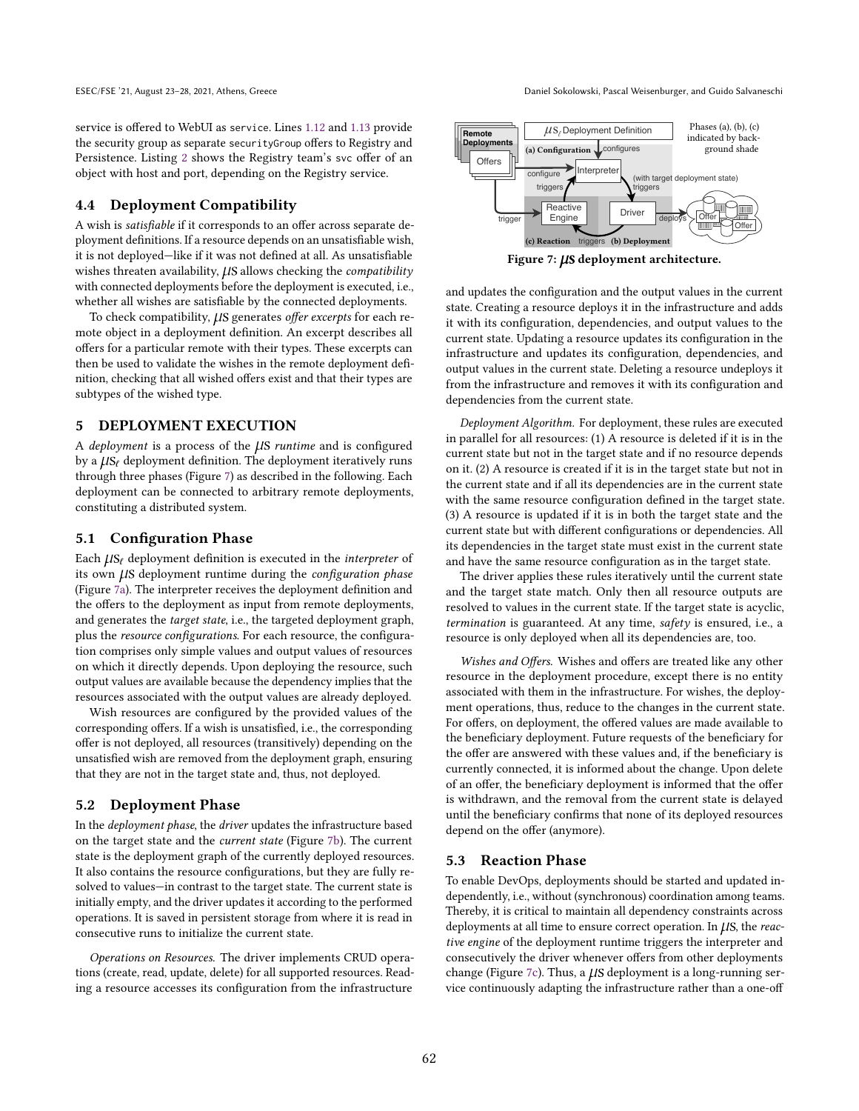ESEC/FSE '21, August 23–28, 2021, Athens, Greece Daniel Sokolowski, Pascal Weisenburger, and Guido Salvaneschi

service is offered to WebUI as service. Lines [1.12](#page-4-19) and [1.13](#page-4-20) provide the security group as separate securityGroup offers to Registry and Persistence. Listing [2](#page-4-21) shows the Registry team's svc offer of an object with host and port, depending on the Registry service.

## <span id="page-5-4"></span>4.4 Deployment Compatibility

A wish is satisfiable if it corresponds to an offer across separate deployment definitions. If a resource depends on an unsatisfiable wish, it is not deployed-like if it was not defined at all. As unsatisfiable wishes threaten availability,  $\mu$ S allows checking the compatibility with connected deployments before the deployment is executed, i.e., whether all wishes are satisfiable by the connected deployments.

To check compatibility,  $\mu$ S generates offer excerpts for each remote object in a deployment definition. An excerpt describes all offers for a particular remote with their types. These excerpts can then be used to validate the wishes in the remote deployment definition, checking that all wished offers exist and that their types are subtypes of the wished type.

## 5 DEPLOYMENT EXECUTION

A deployment is a process of the  $\mu$ S runtime and is configured by a  $\mu$ S<sub>ℓ</sub> deployment definition. The deployment iteratively runs through three phases (Figure [7\)](#page-5-0) as described in the following. Each deployment can be connected to arbitrary remote deployments, constituting a distributed system.

#### <span id="page-5-1"></span>5.1 Configuration Phase

Each  $\mu s_f$  deployment definition is executed in the *interpreter* of its own LIS deployment runtime during the configuration phase (Figure [7a\)](#page-5-0). The interpreter receives the deployment definition and the offers to the deployment as input from remote deployments, and generates the target state, i.e., the targeted deployment graph, plus the resource configurations. For each resource, the configuration comprises only simple values and output values of resources on which it directly depends. Upon deploying the resource, such output values are available because the dependency implies that the resources associated with the output values are already deployed.

Wish resources are configured by the provided values of the corresponding offers. If a wish is unsatisfied, i.e., the corresponding offer is not deployed, all resources (transitively) depending on the unsatisfied wish are removed from the deployment graph, ensuring that they are not in the target state and, thus, not deployed.

#### <span id="page-5-2"></span>5.2 Deployment Phase

In the deployment phase, the driver updates the infrastructure based on the target state and the current state (Figure [7b\)](#page-5-0). The current state is the deployment graph of the currently deployed resources. It also contains the resource configurations, but they are fully resolved to values-in contrast to the target state. The current state is initially empty, and the driver updates it according to the performed operations. It is saved in persistent storage from where it is read in consecutive runs to initialize the current state.

Operations on Resources. The driver implements CRUD operations (create, read, update, delete) for all supported resources. Reading a resource accesses its configuration from the infrastructure

<span id="page-5-0"></span>

Figure 7:  $\mu$ S deployment architecture.

and updates the configuration and the output values in the current state. Creating a resource deploys it in the infrastructure and adds it with its configuration, dependencies, and output values to the current state. Updating a resource updates its configuration in the infrastructure and updates its configuration, dependencies, and output values in the current state. Deleting a resource undeploys it from the infrastructure and removes it with its configuration and dependencies from the current state.

Deployment Algorithm. For deployment, these rules are executed in parallel for all resources: (1) A resource is deleted if it is in the current state but not in the target state and if no resource depends on it. (2) A resource is created if it is in the target state but not in the current state and if all its dependencies are in the current state with the same resource configuration defined in the target state. (3) A resource is updated if it is in both the target state and the current state but with different configurations or dependencies. All its dependencies in the target state must exist in the current state and have the same resource configuration as in the target state.

The driver applies these rules iteratively until the current state and the target state match. Only then all resource outputs are resolved to values in the current state. If the target state is acyclic, termination is guaranteed. At any time, safety is ensured, i.e., a resource is only deployed when all its dependencies are, too.

Wishes and Offers. Wishes and offers are treated like any other resource in the deployment procedure, except there is no entity associated with them in the infrastructure. For wishes, the deployment operations, thus, reduce to the changes in the current state. For offers, on deployment, the offered values are made available to the beneficiary deployment. Future requests of the beneficiary for the offer are answered with these values and, if the beneficiary is currently connected, it is informed about the change. Upon delete of an offer, the beneficiary deployment is informed that the offer is withdrawn, and the removal from the current state is delayed until the beneficiary confirms that none of its deployed resources depend on the offer (anymore).

#### <span id="page-5-3"></span>5.3 Reaction Phase

To enable DevOps, deployments should be started and updated independently, i.e., without (synchronous) coordination among teams. Thereby, it is critical to maintain all dependency constraints across deployments at all time to ensure correct operation. In  $\mu$ S, the reactive engine of the deployment runtime triggers the interpreter and consecutively the driver whenever offers from other deployments change (Figure [7c\)](#page-5-0). Thus, a  $\mu$ S deployment is a long-running service continuously adapting the infrastructure rather than a one-off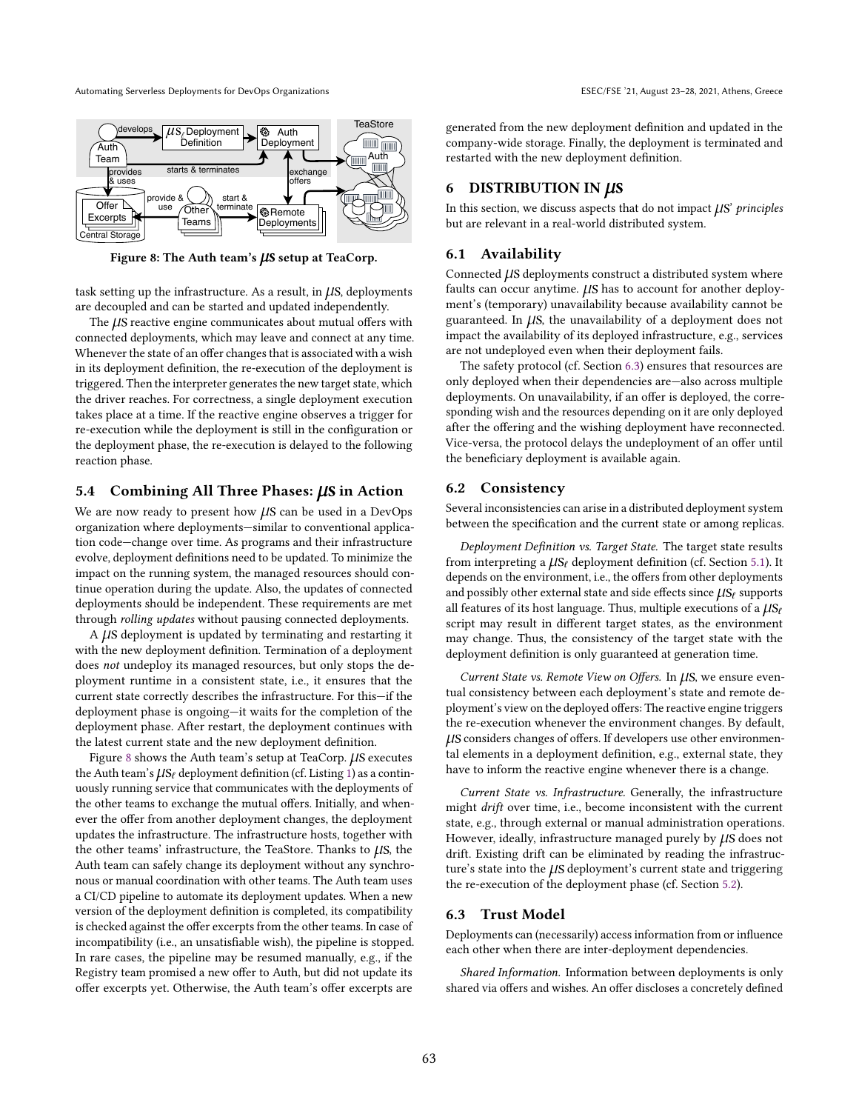<span id="page-6-0"></span>

Figure 8: The Auth team's  $\mu$ S setup at TeaCorp.

task setting up the infrastructure. As a result, in  $\mu$ S, deployments are decoupled and can be started and updated independently.

The  $\mu$ S reactive engine communicates about mutual offers with connected deployments, which may leave and connect at any time. Whenever the state of an offer changes that is associated with a wish in its deployment definition, the re-execution of the deployment is triggered. Then the interpreter generates the new target state, which the driver reaches. For correctness, a single deployment execution takes place at a time. If the reactive engine observes a trigger for re-execution while the deployment is still in the configuration or the deployment phase, the re-execution is delayed to the following reaction phase.

# 5.4 Combining All Three Phases:  $\mu$ S in Action

We are now ready to present how  $\mu$ S can be used in a DevOps organization where deployments-similar to conventional application code-change over time. As programs and their infrastructure evolve, deployment definitions need to be updated. To minimize the impact on the running system, the managed resources should continue operation during the update. Also, the updates of connected deployments should be independent. These requirements are met through rolling updates without pausing connected deployments.

A  $\mu$ S deployment is updated by terminating and restarting it with the new deployment definition. Termination of a deployment does not undeploy its managed resources, but only stops the deployment runtime in a consistent state, i.e., it ensures that the current state correctly describes the infrastructure. For this-if the deployment phase is ongoing-it waits for the completion of the deployment phase. After restart, the deployment continues with the latest current state and the new deployment definition.

Figure [8](#page-6-0) shows the Auth team's setup at TeaCorp.  $\mu$ S executes the Auth team's  $\mu s_f$  deployment definition (cf. Listing [1\)](#page-4-1) as a continuously running service that communicates with the deployments of the other teams to exchange the mutual offers. Initially, and whenever the offer from another deployment changes, the deployment updates the infrastructure. The infrastructure hosts, together with the other teams' infrastructure, the TeaStore. Thanks to  $\mu$ S, the Auth team can safely change its deployment without any synchronous or manual coordination with other teams. The Auth team uses a CI/CD pipeline to automate its deployment updates. When a new version of the deployment definition is completed, its compatibility is checked against the offer excerpts from the other teams. In case of incompatibility (i.e., an unsatisfiable wish), the pipeline is stopped. In rare cases, the pipeline may be resumed manually, e.g., if the Registry team promised a new offer to Auth, but did not update its offer excerpts yet. Otherwise, the Auth team's offer excerpts are

generated from the new deployment definition and updated in the company-wide storage. Finally, the deployment is terminated and restarted with the new deployment definition.

# <span id="page-6-1"></span>6 DISTRIBUTION IN  $\mu$ s

In this section, we discuss aspects that do not impact  $\mu$ S' principles but are relevant in a real-world distributed system.

# 6.1 Availability

Connected  $\mu$ S deployments construct a distributed system where faults can occur anytime.  $\mu$ S has to account for another deployment's (temporary) unavailability because availability cannot be guaranteed. In  $\mu$ S, the unavailability of a deployment does not impact the availability of its deployed infrastructure, e.g., services are not undeployed even when their deployment fails.

The safety protocol (cf. Section [6.3\)](#page-7-0) ensures that resources are only deployed when their dependencies are-also across multiple deployments. On unavailability, if an offer is deployed, the corresponding wish and the resources depending on it are only deployed after the offering and the wishing deployment have reconnected. Vice-versa, the protocol delays the undeployment of an offer until the beneficiary deployment is available again.

#### 6.2 Consistency

Several inconsistencies can arise in a distributed deployment system between the specification and the current state or among replicas.

Deployment Definition vs. Target State. The target state results from interpreting a  $\mu s_\ell$  deployment definition (cf. Section [5.1\)](#page-5-1). It depends on the environment, i.e., the offers from other deployments and possibly other external state and side effects since  $\mu s_\ell$  supports all features of its host language. Thus, multiple executions of a  $\mu s_\ell$ script may result in different target states, as the environment may change. Thus, the consistency of the target state with the deployment definition is only guaranteed at generation time.

Current State vs. Remote View on Offers. In  $\mu$ S, we ensure eventual consistency between each deployment's state and remote deployment's view on the deployed offers: The reactive engine triggers the re-execution whenever the environment changes. By default, µs considers changes of offers. If developers use other environmental elements in a deployment definition, e.g., external state, they have to inform the reactive engine whenever there is a change.

Current State vs. Infrastructure. Generally, the infrastructure might drift over time, i.e., become inconsistent with the current state, e.g., through external or manual administration operations. However, ideally, infrastructure managed purely by  $\mu$ S does not drift. Existing drift can be eliminated by reading the infrastructure's state into the  $\mu$ S deployment's current state and triggering the re-execution of the deployment phase (cf. Section [5.2\)](#page-5-2).

#### 6.3 Trust Model

Deployments can (necessarily) access information from or influence each other when there are inter-deployment dependencies.

Shared Information. Information between deployments is only shared via offers and wishes. An offer discloses a concretely defined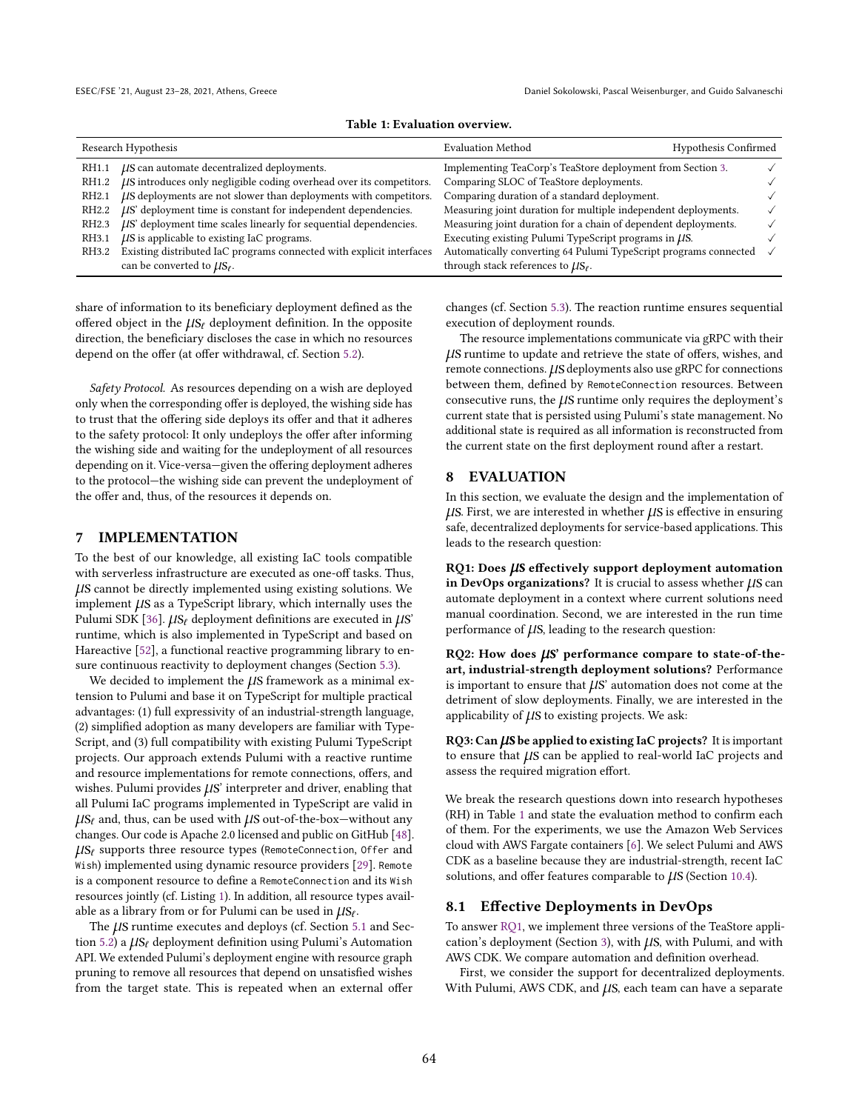|  | Table 1: Evaluation overview. |  |
|--|-------------------------------|--|
|--|-------------------------------|--|

<span id="page-7-8"></span><span id="page-7-6"></span><span id="page-7-4"></span><span id="page-7-3"></span><span id="page-7-1"></span>

|                   | Research Hypothesis                                                  | <b>Evaluation Method</b>                                         | Hypothesis Confirmed |  |
|-------------------|----------------------------------------------------------------------|------------------------------------------------------------------|----------------------|--|
| RH1.1             | <i>LIS</i> can automate decentralized deployments.                   | Implementing TeaCorp's TeaStore deployment from Section 3.       |                      |  |
| RH1.2             | LIS introduces only negligible coding overhead over its competitors. | Comparing SLOC of TeaStore deployments.                          |                      |  |
| RH <sub>2.1</sub> | LIS deployments are not slower than deployments with competitors.    | Comparing duration of a standard deployment.                     |                      |  |
| RH2.2             | $\mu$ S' deployment time is constant for independent dependencies.   | Measuring joint duration for multiple independent deployments.   |                      |  |
| RH2.3             | LIS' deployment time scales linearly for sequential dependencies.    | Measuring joint duration for a chain of dependent deployments.   |                      |  |
| RH3.1             | $\mu$ S is applicable to existing IaC programs.                      | Executing existing Pulumi TypeScript programs in LIS.            |                      |  |
| RH3.2             | Existing distributed IaC programs connected with explicit interfaces | Automatically converting 64 Pulumi TypeScript programs connected |                      |  |
|                   | can be converted to $\mu s_{\ell}$ .                                 | through stack references to $\mu s_f$ .                          |                      |  |

<span id="page-7-11"></span><span id="page-7-10"></span><span id="page-7-7"></span>share of information to its beneficiary deployment defined as the offered object in the  $\mu s_\ell$  deployment definition. In the opposite direction, the beneficiary discloses the case in which no resources depend on the offer (at offer withdrawal, cf. Section [5.2\)](#page-5-2).

<span id="page-7-0"></span>Safety Protocol. As resources depending on a wish are deployed only when the corresponding offer is deployed, the wishing side has to trust that the offering side deploys its offer and that it adheres to the safety protocol: It only undeploys the offer after informing the wishing side and waiting for the undeployment of all resources depending on it. Vice-versa-given the offering deployment adheres to the protocol-the wishing side can prevent the undeployment of the offer and, thus, of the resources it depends on.

#### <span id="page-7-12"></span>7 IMPLEMENTATION

To the best of our knowledge, all existing IaC tools compatible with serverless infrastructure are executed as one-off tasks. Thus, µs cannot be directly implemented using existing solutions. We implement  $\mu$ S as a TypeScript library, which internally uses the Pulumi SDK [\[36\]](#page-11-22).  $\mu s_\ell$  deployment definitions are executed in  $\mu s'$ runtime, which is also implemented in TypeScript and based on Hareactive [\[52\]](#page-12-2), a functional reactive programming library to ensure continuous reactivity to deployment changes (Section [5.3\)](#page-5-3).

We decided to implement the  $\mu$ S framework as a minimal extension to Pulumi and base it on TypeScript for multiple practical advantages: (1) full expressivity of an industrial-strength language, (2) simplified adoption as many developers are familiar with Type-Script, and (3) full compatibility with existing Pulumi TypeScript projects. Our approach extends Pulumi with a reactive runtime and resource implementations for remote connections, offers, and wishes. Pulumi provides  $\mu$ S' interpreter and driver, enabling that all Pulumi IaC programs implemented in TypeScript are valid in  $\mu s_f$  and, thus, can be used with  $\mu s$  out-of-the-box–without any changes. Our code is Apache 2.0 licensed and public on GitHub [\[48\]](#page-11-23).  $\mu s_\ell$  supports three resource types (RemoteConnection, Offer and Wish) implemented using dynamic resource providers [\[29\]](#page-11-24). Remote is a component resource to define a RemoteConnection and its Wish resources jointly (cf. Listing [1\)](#page-4-1). In addition, all resource types available as a library from or for Pulumi can be used in  $\mu s_{\ell}$ .

The  $\mu$ S runtime executes and deploys (cf. Section [5.1](#page-5-1) and Sec-tion [5.2\)](#page-5-2) a  $\mu$ S<sub>ℓ</sub> deployment definition using Pulumi's Automation API. We extended Pulumi's deployment engine with resource graph pruning to remove all resources that depend on unsatisfied wishes from the target state. This is repeated when an external offer

changes (cf. Section [5.3\)](#page-5-3). The reaction runtime ensures sequential execution of deployment rounds.

The resource implementations communicate via gRPC with their µs runtime to update and retrieve the state of offers, wishes, and remote connections.  $\mu$ S deployments also use gRPC for connections between them, defined by RemoteConnection resources. Between consecutive runs, the  $\mu$ S runtime only requires the deployment's current state that is persisted using Pulumi's state management. No additional state is required as all information is reconstructed from the current state on the first deployment round after a restart.

#### 8 EVALUATION

In this section, we evaluate the design and the implementation of  $\mu$ S. First, we are interested in whether  $\mu$ S is effective in ensuring safe, decentralized deployments for service-based applications. This leads to the research question:

<span id="page-7-2"></span> $RQ1: Does \mu S$  effectively support deployment automation in DevOps organizations? It is crucial to assess whether  $\mu$ S can automate deployment in a context where current solutions need manual coordination. Second, we are interested in the run time performance of  $\mu$ S, leading to the research question:

<span id="page-7-5"></span>RQ2: How does  $\mu$ S' performance compare to state-of-theart, industrial-strength deployment solutions? Performance is important to ensure that  $\mu$ S' automation does not come at the detriment of slow deployments. Finally, we are interested in the applicability of  $\mu$ S to existing projects. We ask:

<span id="page-7-9"></span> $RQ3: Can \mu S$  be applied to existing IaC projects? It is important to ensure that  $\mu$ S can be applied to real-world IaC projects and assess the required migration effort.

We break the research questions down into research hypotheses (RH) in Table [1](#page-7-1) and state the evaluation method to confirm each of them. For the experiments, we use the Amazon Web Services cloud with AWS Fargate containers [\[6\]](#page-11-19). We select Pulumi and AWS CDK as a baseline because they are industrial-strength, recent IaC solutions, and offer features comparable to  $\mu$ S (Section [10.4\)](#page-10-1).

#### 8.1 Effective Deployments in DevOps

To answer [RQ1,](#page-7-2) we implement three versions of the TeaStore appli-cation's deployment (Section [3\)](#page-2-5), with  $\mu$ S, with Pulumi, and with AWS CDK. We compare automation and definition overhead.

First, we consider the support for decentralized deployments. With Pulumi, AWS CDK, and  $\mu$ S, each team can have a separate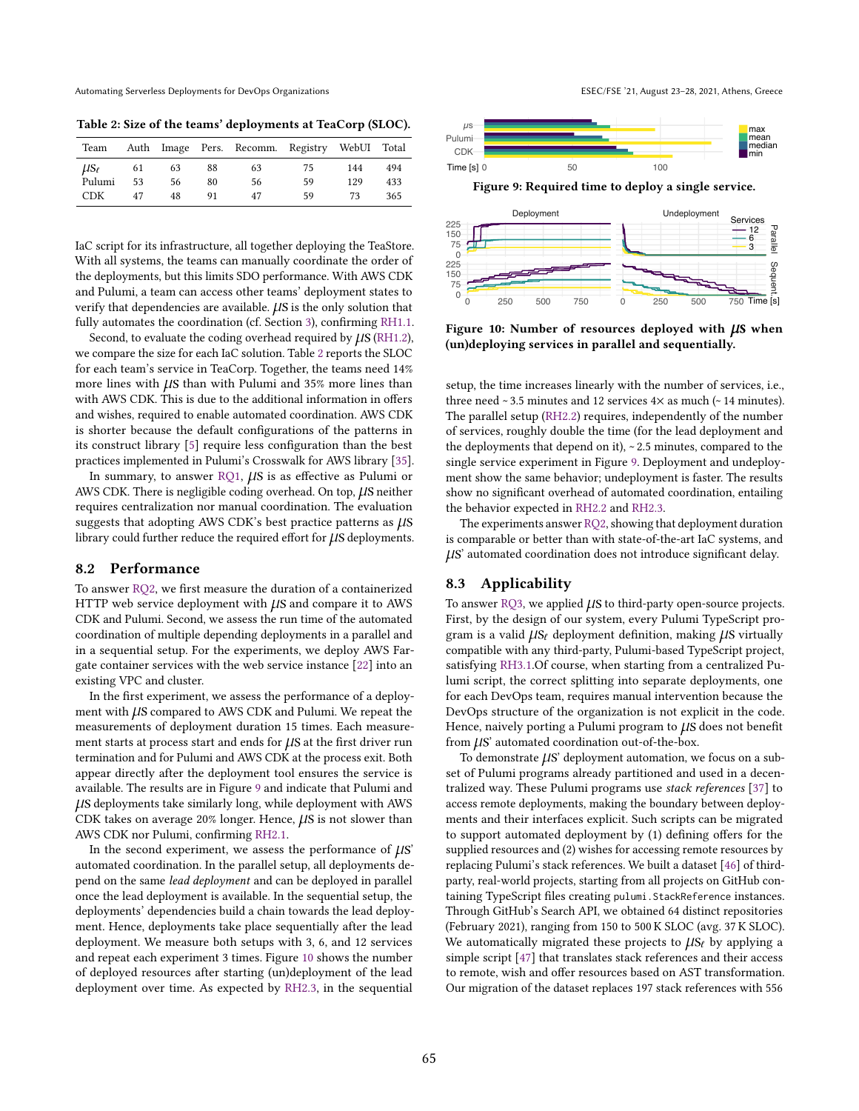<span id="page-8-0"></span>Table 2: Size of the teams' deployments at TeaCorp (SLOC).

| Team           |    |    |    | Auth Image Pers. Recomm. Registry WebUI Total |    |     |     |
|----------------|----|----|----|-----------------------------------------------|----|-----|-----|
| $\mu s_{\ell}$ | 61 | 63 | 88 | 63                                            | 75 | 144 | 494 |
| Pulumi         | 53 | 56 | 80 | 56                                            | 59 | 129 | 433 |
| CDK.           | 47 | 48 |    | 47                                            | 59 | 73  | 365 |

IaC script for its infrastructure, all together deploying the TeaStore. With all systems, the teams can manually coordinate the order of the deployments, but this limits SDO performance. With AWS CDK and Pulumi, a team can access other teams' deployment states to verify that dependencies are available.  $\mu$ S is the only solution that fully automates the coordination (cf. Section [3\)](#page-2-5), confirming [RH1.1.](#page-7-3)

Second, to evaluate the coding overhead required by  $\mu$ S [\(RH1.2\)](#page-7-4), we compare the size for each IaC solution. Table [2](#page-8-0) reports the SLOC for each team's service in TeaCorp. Together, the teams need 14% more lines with  $\mu$ S than with Pulumi and 35% more lines than with AWS CDK. This is due to the additional information in offers and wishes, required to enable automated coordination. AWS CDK is shorter because the default configurations of the patterns in its construct library [\[5\]](#page-11-25) require less configuration than the best practices implemented in Pulumi's Crosswalk for AWS library [\[35\]](#page-11-26).

In summary, to answer [RQ1,](#page-7-2)  $\mu$ S is as effective as Pulumi or AWS CDK. There is negligible coding overhead. On top,  $\mu$ S neither requires centralization nor manual coordination. The evaluation suggests that adopting AWS CDK's best practice patterns as  $\mu$ S library could further reduce the required effort for  $\mu$ S deployments.

#### <span id="page-8-3"></span>8.2 Performance

To answer [RQ2,](#page-7-5) we first measure the duration of a containerized HTTP web service deployment with  $\mu$ S and compare it to AWS CDK and Pulumi. Second, we assess the run time of the automated coordination of multiple depending deployments in a parallel and in a sequential setup. For the experiments, we deploy AWS Fargate container services with the web service instance [\[22\]](#page-11-27) into an existing VPC and cluster.

In the first experiment, we assess the performance of a deployment with  $\mu$ S compared to AWS CDK and Pulumi. We repeat the measurements of deployment duration 15 times. Each measurement starts at process start and ends for  $\mu$ S at the first driver run termination and for Pulumi and AWS CDK at the process exit. Both appear directly after the deployment tool ensures the service is available. The results are in Figure [9](#page-8-1) and indicate that Pulumi and µs deployments take similarly long, while deployment with AWS CDK takes on average  $20\%$  longer. Hence,  $\mu$ S is not slower than AWS CDK nor Pulumi, confirming [RH2.1.](#page-7-6)

In the second experiment, we assess the performance of  $\mu$ S' automated coordination. In the parallel setup, all deployments depend on the same lead deployment and can be deployed in parallel once the lead deployment is available. In the sequential setup, the deployments' dependencies build a chain towards the lead deployment. Hence, deployments take place sequentially after the lead deployment. We measure both setups with 3, 6, and 12 services and repeat each experiment 3 times. Figure [10](#page-8-2) shows the number of deployed resources after starting (un)deployment of the lead deployment over time. As expected by [RH2.3,](#page-7-7) in the sequential

<span id="page-8-2"></span><span id="page-8-1"></span>

Figure 10: Number of resources deployed with  $\mu$ S when (un)deploying services in parallel and sequentially.

setup, the time increases linearly with the number of services, i.e., three need  $\sim$  3.5 minutes and 12 services 4 $\times$  as much ( $\sim$  14 minutes). The parallel setup [\(RH2.2\)](#page-7-8) requires, independently of the number of services, roughly double the time (for the lead deployment and the deployments that depend on it),  $\sim$  2.5 minutes, compared to the single service experiment in Figure [9.](#page-8-1) Deployment and undeployment show the same behavior; undeployment is faster. The results show no significant overhead of automated coordination, entailing the behavior expected in [RH2.2](#page-7-8) and [RH2.3.](#page-7-7)

The experiments answer [RQ2,](#page-7-5) showing that deployment duration is comparable or better than with state-of-the-art IaC systems, and µs' automated coordination does not introduce significant delay.

### 8.3 Applicability

To answer [RQ3,](#page-7-9) we applied  $\mu$ S to third-party open-source projects. First, by the design of our system, every Pulumi TypeScript program is a valid  $\mu s_f$  deployment definition, making  $\mu s$  virtually compatible with any third-party, Pulumi-based TypeScript project, satisfying [RH3.1.](#page-7-10)Of course, when starting from a centralized Pulumi script, the correct splitting into separate deployments, one for each DevOps team, requires manual intervention because the DevOps structure of the organization is not explicit in the code. Hence, naively porting a Pulumi program to  $\mu$ S does not benefit from  $\mu$ S' automated coordination out-of-the-box.

To demonstrate  $\mu$ S' deployment automation, we focus on a subset of Pulumi programs already partitioned and used in a decentralized way. These Pulumi programs use stack references [\[37\]](#page-11-21) to access remote deployments, making the boundary between deployments and their interfaces explicit. Such scripts can be migrated to support automated deployment by (1) defining offers for the supplied resources and (2) wishes for accessing remote resources by replacing Pulumi's stack references. We built a dataset [\[46\]](#page-11-28) of thirdparty, real-world projects, starting from all projects on GitHub containing TypeScript files creating pulumi.StackReference instances. Through GitHub's Search API, we obtained 64 distinct repositories (February 2021), ranging from 150 to 500 K SLOC (avg. 37 K SLOC). We automatically migrated these projects to  $\mu s_\ell$  by applying a simple script [\[47\]](#page-11-29) that translates stack references and their access to remote, wish and offer resources based on AST transformation. Our migration of the dataset replaces 197 stack references with 556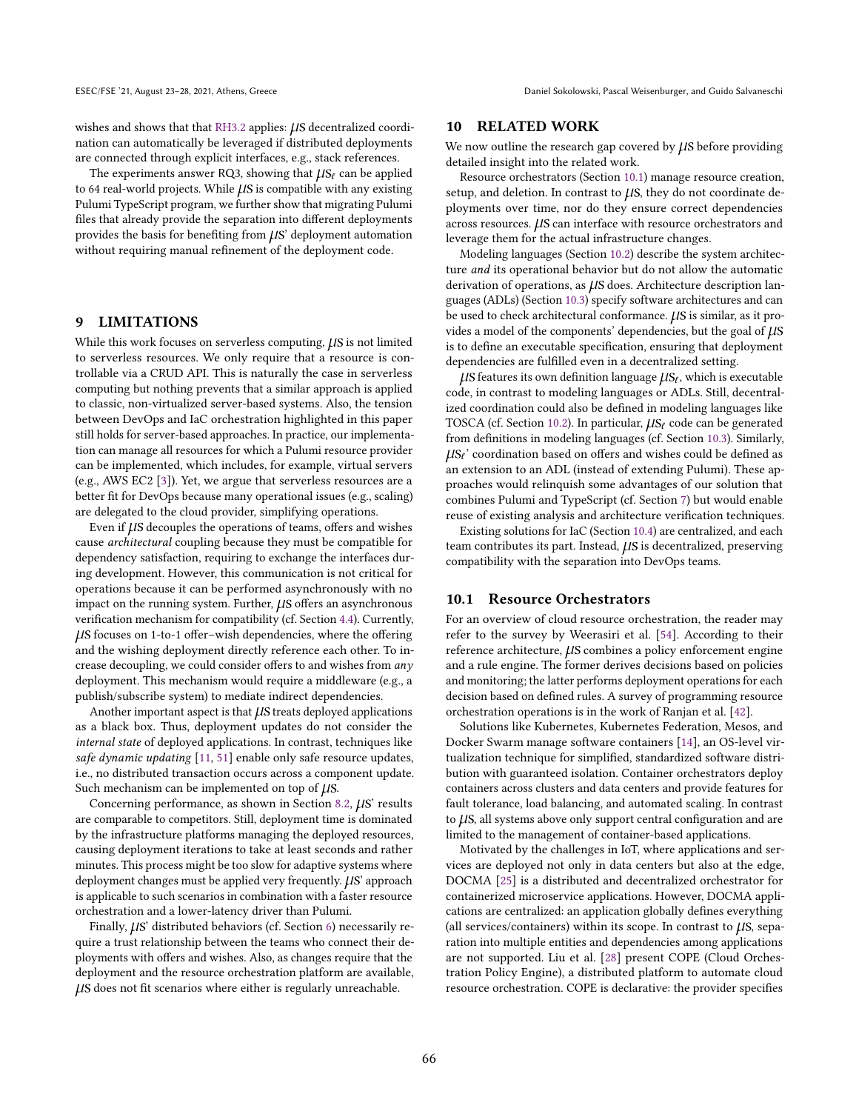wishes and shows that that [RH3.2](#page-7-11) applies:  $\mu$ S decentralized coordination can automatically be leveraged if distributed deployments are connected through explicit interfaces, e.g., stack references.

The experiments answer RQ3, showing that  $\mu S_f$  can be applied to 64 real-world projects. While  $\mu$ S is compatible with any existing Pulumi TypeScript program, we further show that migrating Pulumi files that already provide the separation into different deployments provides the basis for benefiting from  $\mu$ S' deployment automation without requiring manual refinement of the deployment code.

# 9 LIMITATIONS

While this work focuses on serverless computing,  $\mu$ S is not limited to serverless resources. We only require that a resource is controllable via a CRUD API. This is naturally the case in serverless computing but nothing prevents that a similar approach is applied to classic, non-virtualized server-based systems. Also, the tension between DevOps and IaC orchestration highlighted in this paper still holds for server-based approaches. In practice, our implementation can manage all resources for which a Pulumi resource provider can be implemented, which includes, for example, virtual servers (e.g., AWS EC2 [\[3\]](#page-11-30)). Yet, we argue that serverless resources are a better fit for DevOps because many operational issues (e.g., scaling) are delegated to the cloud provider, simplifying operations.

Even if  $\mu$ S decouples the operations of teams, offers and wishes cause architectural coupling because they must be compatible for dependency satisfaction, requiring to exchange the interfaces during development. However, this communication is not critical for operations because it can be performed asynchronously with no impact on the running system. Further,  $\mu$ S offers an asynchronous verification mechanism for compatibility (cf. Section [4.4\)](#page-5-4). Currently,  $\mu$ S focuses on 1-to-1 offer-wish dependencies, where the offering and the wishing deployment directly reference each other. To increase decoupling, we could consider offers to and wishes from any deployment. This mechanism would require a middleware (e.g., a publish/subscribe system) to mediate indirect dependencies.

Another important aspect is that  $\mu$ S treats deployed applications as a black box. Thus, deployment updates do not consider the internal state of deployed applications. In contrast, techniques like safe dynamic updating [\[11,](#page-11-31) [51\]](#page-12-3) enable only safe resource updates, i.e., no distributed transaction occurs across a component update. Such mechanism can be implemented on top of  $\mu$ S.

Concerning performance, as shown in Section [8.2,](#page-8-3)  $\mu$ S' results are comparable to competitors. Still, deployment time is dominated by the infrastructure platforms managing the deployed resources, causing deployment iterations to take at least seconds and rather minutes. This process might be too slow for adaptive systems where deployment changes must be applied very frequently.  $\mu$ S' approach is applicable to such scenarios in combination with a faster resource orchestration and a lower-latency driver than Pulumi.

Finally,  $\mu$ S' distributed behaviors (cf. Section [6\)](#page-6-1) necessarily require a trust relationship between the teams who connect their deployments with offers and wishes. Also, as changes require that the deployment and the resource orchestration platform are available, µs does not fit scenarios where either is regularly unreachable.

# 10 RELATED WORK

We now outline the research gap covered by  $\mu$ S before providing detailed insight into the related work.

Resource orchestrators (Section [10.1\)](#page-9-0) manage resource creation, setup, and deletion. In contrast to  $\mu$ S, they do not coordinate deployments over time, nor do they ensure correct dependencies across resources.  $\mu$ S can interface with resource orchestrators and leverage them for the actual infrastructure changes.

Modeling languages (Section [10.2\)](#page-10-0) describe the system architecture and its operational behavior but do not allow the automatic derivation of operations, as  $\mu$ S does. Architecture description languages (ADLs) (Section [10.3\)](#page-10-2) specify software architectures and can be used to check architectural conformance.  $\mu$ S is similar, as it provides a model of the components' dependencies, but the goal of  $\mu$ S is to define an executable specification, ensuring that deployment dependencies are fulfilled even in a decentralized setting.

 $\mu$ S features its own definition language  $\mu$ S $_{\ell}$ , which is executable code, in contrast to modeling languages or ADLs. Still, decentralized coordination could also be defined in modeling languages like TOSCA (cf. Section [10.2\)](#page-10-0). In particular,  $\mu s_\ell$  code can be generated from definitions in modeling languages (cf. Section [10.3\)](#page-10-2). Similarly,  $\mu s_f$ ' coordination based on offers and wishes could be defined as an extension to an ADL (instead of extending Pulumi). These approaches would relinquish some advantages of our solution that combines Pulumi and TypeScript (cf. Section [7\)](#page-7-12) but would enable reuse of existing analysis and architecture verification techniques.

Existing solutions for IaC (Section [10.4\)](#page-10-1) are centralized, and each team contributes its part. Instead,  $\mu$ S is decentralized, preserving compatibility with the separation into DevOps teams.

#### <span id="page-9-0"></span>10.1 Resource Orchestrators

For an overview of cloud resource orchestration, the reader may refer to the survey by Weerasiri et al. [\[54\]](#page-12-4). According to their reference architecture,  $\mu$ S combines a policy enforcement engine and a rule engine. The former derives decisions based on policies and monitoring; the latter performs deployment operations for each decision based on defined rules. A survey of programming resource orchestration operations is in the work of Ranjan et al. [\[42\]](#page-11-32).

Solutions like Kubernetes, Kubernetes Federation, Mesos, and Docker Swarm manage software containers [\[14\]](#page-11-33), an OS-level virtualization technique for simplified, standardized software distribution with guaranteed isolation. Container orchestrators deploy containers across clusters and data centers and provide features for fault tolerance, load balancing, and automated scaling. In contrast to  $\mu$ S, all systems above only support central configuration and are limited to the management of container-based applications.

Motivated by the challenges in IoT, where applications and services are deployed not only in data centers but also at the edge, DOCMA [\[25\]](#page-11-34) is a distributed and decentralized orchestrator for containerized microservice applications. However, DOCMA applications are centralized: an application globally defines everything (all services/containers) within its scope. In contrast to  $\mu$ S, separation into multiple entities and dependencies among applications are not supported. Liu et al. [\[28\]](#page-11-35) present COPE (Cloud Orchestration Policy Engine), a distributed platform to automate cloud resource orchestration. COPE is declarative: the provider specifies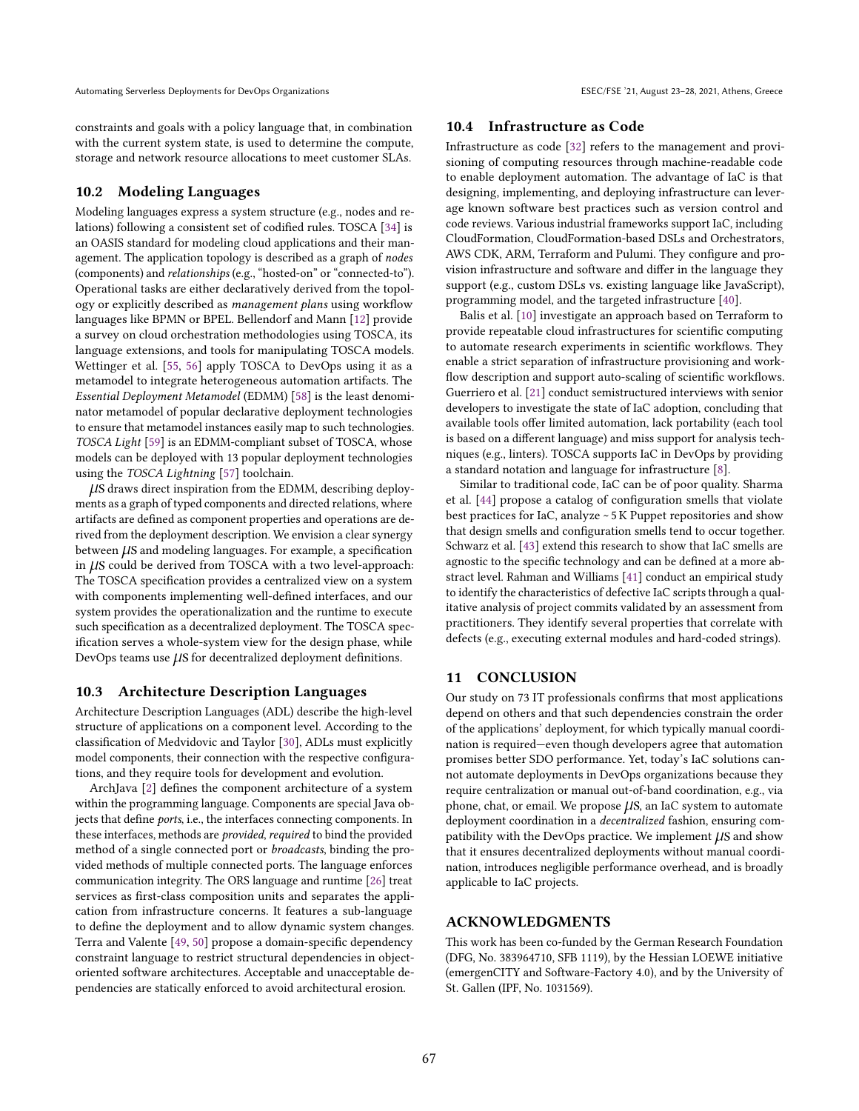constraints and goals with a policy language that, in combination with the current system state, is used to determine the compute, storage and network resource allocations to meet customer SLAs.

#### <span id="page-10-0"></span>10.2 Modeling Languages

Modeling languages express a system structure (e.g., nodes and relations) following a consistent set of codified rules. TOSCA [\[34\]](#page-11-36) is an OASIS standard for modeling cloud applications and their management. The application topology is described as a graph of nodes (components) and relationships (e.g., "hosted-on" or "connected-to"). Operational tasks are either declaratively derived from the topology or explicitly described as management plans using workflow languages like BPMN or BPEL. Bellendorf and Mann [\[12\]](#page-11-37) provide a survey on cloud orchestration methodologies using TOSCA, its language extensions, and tools for manipulating TOSCA models. Wettinger et al. [\[55,](#page-12-5) [56\]](#page-12-6) apply TOSCA to DevOps using it as a metamodel to integrate heterogeneous automation artifacts. The Essential Deployment Metamodel (EDMM) [\[58\]](#page-12-7) is the least denominator metamodel of popular declarative deployment technologies to ensure that metamodel instances easily map to such technologies. TOSCA Light [\[59\]](#page-12-8) is an EDMM-compliant subset of TOSCA, whose models can be deployed with 13 popular deployment technologies using the TOSCA Lightning [\[57\]](#page-12-9) toolchain.

µs draws direct inspiration from the EDMM, describing deployments as a graph of typed components and directed relations, where artifacts are defined as component properties and operations are derived from the deployment description. We envision a clear synergy between  $\mu$ S and modeling languages. For example, a specification in  $\mu$ S could be derived from TOSCA with a two level-approach: The TOSCA specification provides a centralized view on a system with components implementing well-defined interfaces, and our system provides the operationalization and the runtime to execute such specification as a decentralized deployment. The TOSCA specification serves a whole-system view for the design phase, while DevOps teams use  $\mu$ S for decentralized deployment definitions.

## <span id="page-10-2"></span>10.3 Architecture Description Languages

Architecture Description Languages (ADL) describe the high-level structure of applications on a component level. According to the classification of Medvidovic and Taylor [\[30\]](#page-11-38), ADLs must explicitly model components, their connection with the respective configurations, and they require tools for development and evolution.

ArchJava [\[2\]](#page-11-39) defines the component architecture of a system within the programming language. Components are special Java objects that define ports, i.e., the interfaces connecting components. In these interfaces, methods are provided, required to bind the provided method of a single connected port or broadcasts, binding the provided methods of multiple connected ports. The language enforces communication integrity. The ORS language and runtime [\[26\]](#page-11-40) treat services as first-class composition units and separates the application from infrastructure concerns. It features a sub-language to define the deployment and to allow dynamic system changes. Terra and Valente [\[49,](#page-11-41) [50\]](#page-11-42) propose a domain-specific dependency constraint language to restrict structural dependencies in objectoriented software architectures. Acceptable and unacceptable dependencies are statically enforced to avoid architectural erosion.

#### <span id="page-10-1"></span>10.4 Infrastructure as Code

Infrastructure as code [\[32\]](#page-11-4) refers to the management and provisioning of computing resources through machine-readable code to enable deployment automation. The advantage of IaC is that designing, implementing, and deploying infrastructure can leverage known software best practices such as version control and code reviews. Various industrial frameworks support IaC, including CloudFormation, CloudFormation-based DSLs and Orchestrators, AWS CDK, ARM, Terraform and Pulumi. They configure and provision infrastructure and software and differ in the language they support (e.g., custom DSLs vs. existing language like JavaScript), programming model, and the targeted infrastructure [\[40\]](#page-11-43).

Balis et al. [\[10\]](#page-11-44) investigate an approach based on Terraform to provide repeatable cloud infrastructures for scientific computing to automate research experiments in scientific workflows. They enable a strict separation of infrastructure provisioning and workflow description and support auto-scaling of scientific workflows. Guerriero et al. [\[21\]](#page-11-45) conduct semistructured interviews with senior developers to investigate the state of IaC adoption, concluding that available tools offer limited automation, lack portability (each tool is based on a different language) and miss support for analysis techniques (e.g., linters). TOSCA supports IaC in DevOps by providing a standard notation and language for infrastructure [\[8\]](#page-11-46).

Similar to traditional code, IaC can be of poor quality. Sharma et al. [\[44\]](#page-11-47) propose a catalog of configuration smells that violate best practices for IaC, analyze ~ 5 K Puppet repositories and show that design smells and configuration smells tend to occur together. Schwarz et al. [\[43\]](#page-11-48) extend this research to show that IaC smells are agnostic to the specific technology and can be defined at a more abstract level. Rahman and Williams [\[41\]](#page-11-49) conduct an empirical study to identify the characteristics of defective IaC scripts through a qualitative analysis of project commits validated by an assessment from practitioners. They identify several properties that correlate with defects (e.g., executing external modules and hard-coded strings).

# 11 CONCLUSION

Our study on 73 IT professionals confirms that most applications depend on others and that such dependencies constrain the order of the applications' deployment, for which typically manual coordination is required–even though developers agree that automation promises better SDO performance. Yet, today's IaC solutions cannot automate deployments in DevOps organizations because they require centralization or manual out-of-band coordination, e.g., via phone, chat, or email. We propose  $\mu$ S, an IaC system to automate deployment coordination in a decentralized fashion, ensuring compatibility with the DevOps practice. We implement  $\mu$ S and show that it ensures decentralized deployments without manual coordination, introduces negligible performance overhead, and is broadly applicable to IaC projects.

# ACKNOWLEDGMENTS

This work has been co-funded by the German Research Foundation (DFG, No. 383964710, SFB 1119), by the Hessian LOEWE initiative (emergenCITY and Software-Factory 4.0), and by the University of St. Gallen (IPF, No. 1031569).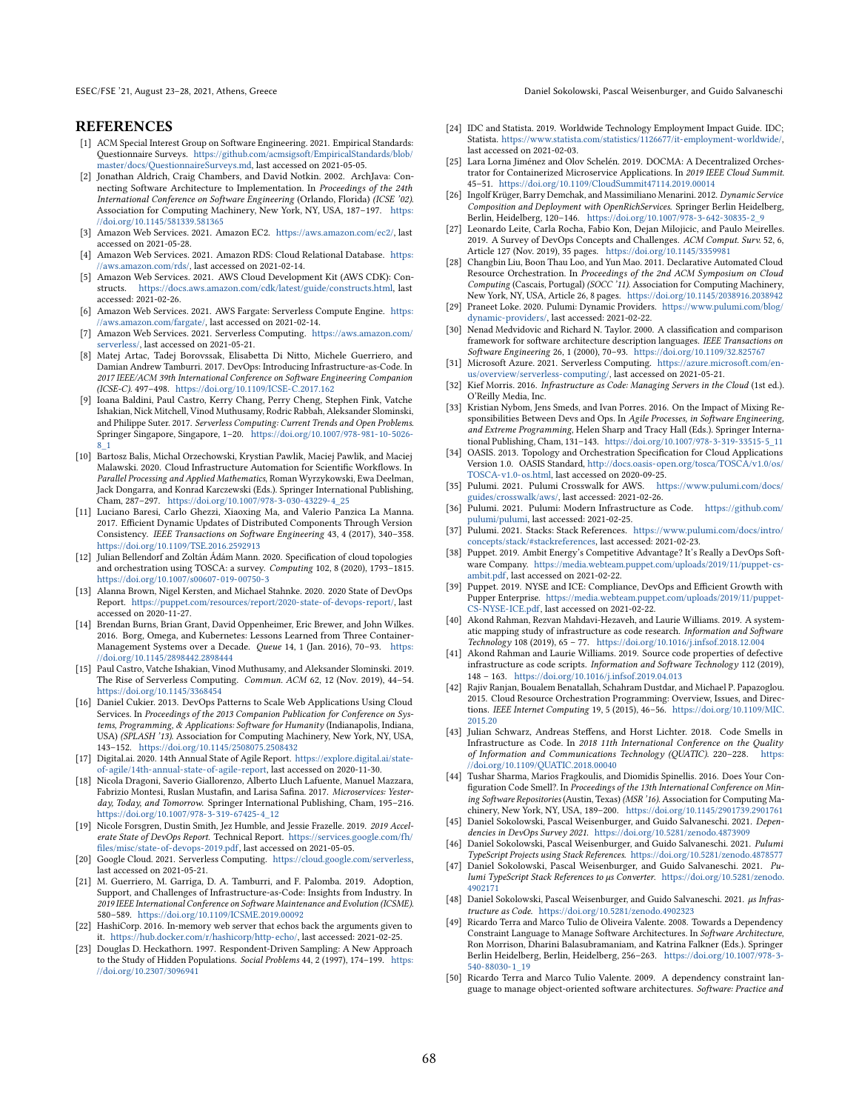ESEC/FSE '21, August 23–28, 2021, Athens, Greece Daniel Sokolowski, Pascal Weisenburger, and Guido Salvaneschi

# REFERENCES

- <span id="page-11-13"></span>[1] ACM Special Interest Group on Software Engineering. 2021. Empirical Standards: Questionnaire Surveys. [https://github.com/acmsigsoft/EmpiricalStandards/blob/](https://github.com/acmsigsoft/EmpiricalStandards/blob/master/docs/QuestionnaireSurveys.md) [master/docs/QuestionnaireSurveys.md,](https://github.com/acmsigsoft/EmpiricalStandards/blob/master/docs/QuestionnaireSurveys.md) last accessed on 2021-05-05.
- <span id="page-11-39"></span>[2] Jonathan Aldrich, Craig Chambers, and David Notkin. 2002. ArchJava: Connecting Software Architecture to Implementation. In Proceedings of the 24th International Conference on Software Engineering (Orlando, Florida) (ICSE '02). Association for Computing Machinery, New York, NY, USA, 187-197. [https:](https://doi.org/10.1145/581339.581365) [//doi.org/10.1145/581339.581365](https://doi.org/10.1145/581339.581365)
- <span id="page-11-30"></span>[3] Amazon Web Services. 2021. Amazon EC2. [https://aws.amazon.com/ec2/,](https://aws.amazon.com/ec2/) last accessed on 2021-05-28.
- <span id="page-11-20"></span>[4] Amazon Web Services. 2021. Amazon RDS: Cloud Relational Database. [https:](https://aws.amazon.com/rds/) aws.amazon.com/rds/, last accessed on 2021-02-14.
- <span id="page-11-25"></span>[5] Amazon Web Services. 2021. AWS Cloud Development Kit (AWS CDK): Constructs. [https://docs.aws.amazon.com/cdk/latest/guide/constructs.html,](https://docs.aws.amazon.com/cdk/latest/guide/constructs.html) last accessed: 2021-02-26.
- <span id="page-11-19"></span>[6] Amazon Web Services. 2021. AWS Fargate: Serverless Compute Engine. [https:](https://aws.amazon.com/fargate/) [//aws.amazon.com/fargate/,](https://aws.amazon.com/fargate/) last accessed on 2021-02-14.
- <span id="page-11-10"></span>[7] Amazon Web Services. 2021. Serverless Computing. [https://aws.amazon.com/](https://aws.amazon.com/serverless/) [serverless/,](https://aws.amazon.com/serverless/) last accessed on 2021-05-21.
- <span id="page-11-46"></span>[8] Matej Artac, Tadej Borovssak, Elisabetta Di Nitto, Michele Guerriero, and Damian Andrew Tamburri. 2017. DevOps: Introducing Infrastructure-as-Code. In 2017 IEEE/ACM 39th International Conference on Software Engineering Companion (ICSE-C). 497-498. <https://doi.org/10.1109/ICSE-C.2017.162>
- <span id="page-11-7"></span>[9] Ioana Baldini, Paul Castro, Kerry Chang, Perry Cheng, Stephen Fink, Vatche Ishakian, Nick Mitchell, Vinod Muthusamy, Rodric Rabbah, Aleksander Slominski, and Philippe Suter. 2017. Serverless Computing: Current Trends and Open Problems. Springer Singapore, Singapore, 1-20. [https://doi.org/10.1007/978-981-10-5026-](https://doi.org/10.1007/978-981-10-5026-8_1) [8\\_1](https://doi.org/10.1007/978-981-10-5026-8_1)
- <span id="page-11-44"></span>[10] Bartosz Balis, Michal Orzechowski, Krystian Pawlik, Maciej Pawlik, and Maciej Malawski. 2020. Cloud Infrastructure Automation for Scientific Workflows. In Parallel Processing and Applied Mathematics, Roman Wyrzykowski, Ewa Deelman, Jack Dongarra, and Konrad Karczewski (Eds.). Springer International Publishing, Cham, 287-297. [https://doi.org/10.1007/978-3-030-43229-4\\_25](https://doi.org/10.1007/978-3-030-43229-4_25)
- <span id="page-11-31"></span>[11] Luciano Baresi, Carlo Ghezzi, Xiaoxing Ma, and Valerio Panzica La Manna. 2017. Efficient Dynamic Updates of Distributed Components Through Version Consistency. IEEE Transactions on Software Engineering 43, 4 (2017), 340-358. <https://doi.org/10.1109/TSE.2016.2592913>
- <span id="page-11-37"></span>[12] Julian Bellendorf and Zoltán Ádám Mann. 2020. Specification of cloud topologies and orchestration using TOSCA: a survey. Computing 102, 8 (2020), 1793-1815. <https://doi.org/10.1007/s00607-019-00750-3>
- <span id="page-11-3"></span>[13] Alanna Brown, Nigel Kersten, and Michael Stahnke. 2020. 2020 State of DevOps Report. [https://puppet.com/resources/report/2020-state-of-devops-report/,](https://puppet.com/resources/report/2020-state-of-devops-report/) last accessed on 2020-11-27.
- <span id="page-11-33"></span>[14] Brendan Burns, Brian Grant, David Oppenheimer, Eric Brewer, and John Wilkes. 2016. Borg, Omega, and Kubernetes: Lessons Learned from Three ContainerManagement Systems over a Decade. Queue 14, 1 (Jan. 2016), 70-93. [https:](https://doi.org/10.1145/2898442.2898444) [//doi.org/10.1145/2898442.2898444](https://doi.org/10.1145/2898442.2898444)
- <span id="page-11-8"></span>[15] Paul Castro, Vatche Ishakian, Vinod Muthusamy, and Aleksander Slominski. 2019. The Rise of Serverless Computing. Commun. ACM 62, 12 (Nov. 2019), 44-54. <https://doi.org/10.1145/3368454>
- <span id="page-11-9"></span>[16] Daniel Cukier. 2013. DevOps Patterns to Scale Web Applications Using Cloud Services. In Proceedings of the 2013 Companion Publication for Conference on Systems, Programming, & Applications: Software for Humanity (Indianapolis, Indiana, USA) (SPLASH '13). Association for Computing Machinery, New York, NY, USA, 143-152. <https://doi.org/10.1145/2508075.2508432>
- <span id="page-11-0"></span>[17] Digital.ai. 2020. 14th Annual State of Agile Report. [https://explore.digital.ai/state](https://explore.digital.ai/state-of-agile/14th-annual-state-of-agile-report)[of-agile/14th-annual-state-of-agile-report,](https://explore.digital.ai/state-of-agile/14th-annual-state-of-agile-report) last accessed on 2020-11-30.
- <span id="page-11-18"></span>[18] Nicola Dragoni, Saverio Giallorenzo, Alberto Lluch Lafuente, Manuel Mazzara, Fabrizio Montesi, Ruslan Mustafin, and Larisa Safina. 2017. Microservices: Yesterday, Today, and Tomorrow. Springer International Publishing, Cham, 195-216. [https://doi.org/10.1007/978-3-319-67425-4\\_12](https://doi.org/10.1007/978-3-319-67425-4_12)
- <span id="page-11-17"></span>[19] Nicole Forsgren, Dustin Smith, Jez Humble, and Jessie Frazelle. 2019. 2019 Accelerate State of DevOps Report. Technical Report. [https://services.google.com/fh/](https://services.google.com/fh/files/misc/state-of-devops-2019.pdf) [files/misc/state-of-devops-2019.pdf,](https://services.google.com/fh/files/misc/state-of-devops-2019.pdf) last accessed on 2021-05-05.
- <span id="page-11-11"></span>[20] Google Cloud. 2021. Serverless Computing. [https://cloud.google.com/serverless,](https://cloud.google.com/serverless) last accessed on 2021-05-21.
- <span id="page-11-45"></span>[21] M. Guerriero, M. Garriga, D. A. Tamburri, and F. Palomba. 2019. Adoption, Support, and Challenges of Infrastructure-as-Code: Insights from Industry. In 2019 IEEE International Conference on Software Maintenance and Evolution (ICSME). 580-589. <https://doi.org/10.1109/ICSME.2019.00092>
- <span id="page-11-27"></span>[22] HashiCorp. 2016. In-memory web server that echos back the arguments given to it. [https://hub.docker.com/r/hashicorp/http-echo/,](https://hub.docker.com/r/hashicorp/http-echo/) last accessed: 2021-02-25.
- <span id="page-11-15"></span>[23] Douglas D. Heckathorn. 1997. Respondent-Driven Sampling: A New Approach to the Study of Hidden Populations. Social Problems  $44, 2$  (1997), 174-199. [https:](https://doi.org/10.2307/3096941) [//doi.org/10.2307/3096941](https://doi.org/10.2307/3096941)
- <span id="page-11-16"></span>[24] IDC and Statista. 2019. Worldwide Technology Employment Impact Guide. IDC; Statista. [https://www.statista.com/statistics/1126677/it-employment-worldwide/,](https://www.statista.com/statistics/1126677/it-employment-worldwide/) last accessed on 2021-02-03.
- <span id="page-11-34"></span>[25] Lara Lorna Jiménez and Olov Schelén. 2019. DOCMA: A Decentralized Orchestrator for Containerized Microservice Applications. In 2019 IEEE Cloud Summit. 45-51. <https://doi.org/10.1109/CloudSummit47114.2019.00014>
- <span id="page-11-40"></span>[26] Ingolf Krüger, Barry Demchak, and Massimiliano Menarini. 2012. Dynamic Service Composition and Deployment with OpenRichServices. Springer Berlin Heidelberg, Berlin, Heidelberg, 120-146. [https://doi.org/10.1007/978-3-642-30835-2\\_9](https://doi.org/10.1007/978-3-642-30835-2_9)
- <span id="page-11-1"></span>Leonardo Leite, Carla Rocha, Fabio Kon, Dejan Milojicic, and Paulo Meirelles. 2019. A Survey of DevOps Concepts and Challenges. ACM Comput. Surv. 52, 6, Article 127 (Nov. 2019), 35 pages. <https://doi.org/10.1145/3359981>
- <span id="page-11-35"></span>[28] Changbin Liu, Boon Thau Loo, and Yun Mao. 2011. Declarative Automated Cloud Resource Orchestration. In Proceedings of the 2nd ACM Symposium on Cloud Computing (Cascais, Portugal) (SOCC '11). Association for Computing Machinery, New York, NY, USA, Article 26, 8 pages. <https://doi.org/10.1145/2038916.2038942>
- <span id="page-11-24"></span>[29] Praneet Loke. 2020. Pulumi: Dynamic Providers. [https://www.pulumi.com/blog/](https://www.pulumi.com/blog/dynamic-providers/) [dynamic-providers/,](https://www.pulumi.com/blog/dynamic-providers/) last accessed: 2021-02-22.
- <span id="page-11-38"></span>[30] Nenad Medvidovic and Richard N. Taylor. 2000. A classification and comparison framework for software architecture description languages. IEEE Transactions on Software Engineering 26, 1 (2000), 70-93. <https://doi.org/10.1109/32.825767>
- <span id="page-11-12"></span>[31] Microsoft Azure. 2021. Serverless Computing. [https://azure.microsoft.com/en](https://azure.microsoft.com/en-us/overview/serverless-computing/)[us/overview/serverless-computing/,](https://azure.microsoft.com/en-us/overview/serverless-computing/) last accessed on 2021-05-21.
- <span id="page-11-4"></span>[32] Kief Morris. 2016. Infrastructure as Code: Managing Servers in the Cloud (1st ed.). O'Reilly Media, Inc.
- <span id="page-11-2"></span>[33] Kristian Nybom, Jens Smeds, and Ivan Porres. 2016. On the Impact of Mixing Responsibilities Between Devs and Ops. In Agile Processes, in Software Engineering, and Extreme Programming, Helen Sharp and Tracy Hall (Eds.). Springer International Publishing, Cham, 131-143. [https://doi.org/10.1007/978-3-319-33515-5\\_11](https://doi.org/10.1007/978-3-319-33515-5_11)
- <span id="page-11-36"></span>[34] OASIS. 2013. Topology and Orchestration Specification for Cloud Applications Version 1.0. OASIS Standard, [http://docs.oasis-open.org/tosca/TOSCA/v1.0/os/](http://docs.oasis-open.org/tosca/TOSCA/v1.0/os/TOSCA-v1.0-os.html) [TOSCA-v1.0-os.html,](http://docs.oasis-open.org/tosca/TOSCA/v1.0/os/TOSCA-v1.0-os.html) last accessed on 2020-09-25.
- <span id="page-11-26"></span>[35] Pulumi. 2021. Pulumi Crosswalk for AWS. [https://www.pulumi.com/docs/](https://www.pulumi.com/docs/guides/crosswalk/aws/) [guides/crosswalk/aws/,](https://www.pulumi.com/docs/guides/crosswalk/aws/) last accessed: 2021-02-26.
- <span id="page-11-22"></span>[36] Pulumi. 2021. Pulumi: Modern Infrastructure as Code. [https://github.com/](https://github.com/pulumi/pulumi) [pulumi/pulumi,](https://github.com/pulumi/pulumi) last accessed: 2021-02-25.
- <span id="page-11-21"></span>[37] Pulumi. 2021. Stacks: Stack References. [https://www.pulumi.com/docs/intro/](https://www.pulumi.com/docs/intro/concepts/stack/#stackreferences) [concepts/stack/#stackreferences,](https://www.pulumi.com/docs/intro/concepts/stack/#stackreferences) last accessed: 2021-02-23.
- <span id="page-11-5"></span>[38] Puppet. 2019. Ambit Energy's Competitive Advantage? It's Really a DevOps Software Company. [https://media.webteam.puppet.com/uploads/2019/11/puppet-cs](https://media.webteam.puppet.com/uploads/2019/11/puppet-cs-ambit.pdf)[ambit.pdf,](https://media.webteam.puppet.com/uploads/2019/11/puppet-cs-ambit.pdf) last accessed on 2021-02-22.
- <span id="page-11-6"></span>[39] Puppet. 2019. NYSE and ICE: Compliance, DevOps and Efficient Growth with Pupper Enterprise. [https://media.webteam.puppet.com/uploads/2019/11/puppet-](https://media.webteam.puppet.com/uploads/2019/11/puppet-CS-NYSE-ICE.pdf)[CS-NYSE-ICE.pdf,](https://media.webteam.puppet.com/uploads/2019/11/puppet-CS-NYSE-ICE.pdf) last accessed on 2021-02-22.
- <span id="page-11-43"></span>[40] Akond Rahman, Rezvan Mahdavi-Hezaveh, and Laurie Williams. 2019. A systematic mapping study of infrastructure as code research. Information and Software Technology 108 (2019), 65 - 77. <https://doi.org/10.1016/j.infsof.2018.12.004>
- <span id="page-11-49"></span>[41] Akond Rahman and Laurie Williams. 2019. Source code properties of defective infrastructure as code scripts. Information and Software Technology 112 (2019), 148 - 163. <https://doi.org/10.1016/j.infsof.2019.04.013>
- <span id="page-11-32"></span>[42] Rajiv Ranjan, Boualem Benatallah, Schahram Dustdar, and Michael P. Papazoglou. 2015. Cloud Resource Orchestration Programming: Overview, Issues, and Directions. IEEE Internet Computing 19, 5 (2015), 46-56. [https://doi.org/10.1109/MIC.](https://doi.org/10.1109/MIC.2015.20) [2015.20](https://doi.org/10.1109/MIC.2015.20)
- <span id="page-11-48"></span>[43] Julian Schwarz, Andreas Steffens, and Horst Lichter. 2018. Code Smells in Infrastructure as Code. In 2018 11th International Conference on the Quality of Information and Communications Technology (QUATIC). 220-228. [https:](https://doi.org/10.1109/QUATIC.2018.00040) [//doi.org/10.1109/QUATIC.2018.00040](https://doi.org/10.1109/QUATIC.2018.00040)
- <span id="page-11-47"></span>[44] Tushar Sharma, Marios Fragkoulis, and Diomidis Spinellis. 2016. Does Your Configuration Code Smell?. In Proceedings of the 13th International Conference on Mining Software Repositories (Austin, Texas) (MSR '16). Association for Computing Machinery, New York, NY, USA, 189-200. <https://doi.org/10.1145/2901739.2901761>
- <span id="page-11-14"></span>[45] Daniel Sokolowski, Pascal Weisenburger, and Guido Salvaneschi. 2021. Dependencies in DevOps Survey 2021. <https://doi.org/10.5281/zenodo.4873909>
- <span id="page-11-28"></span>[46] Daniel Sokolowski, Pascal Weisenburger, and Guido Salvaneschi. 2021. Pulumi TypeScript Projects using Stack References. <https://doi.org/10.5281/zenodo.4878577>
- <span id="page-11-29"></span>[47] Daniel Sokolowski, Pascal Weisenburger, and Guido Salvaneschi. 2021. Pulumi TypeScript Stack References to  $\mu$ s Converter. [https://doi.org/10.5281/zenodo.](https://doi.org/10.5281/zenodo.4902171) [4902171](https://doi.org/10.5281/zenodo.4902171)
- <span id="page-11-23"></span>[48] Daniel Sokolowski, Pascal Weisenburger, and Guido Salvaneschi. 2021. µs Infrastructure as Code. <https://doi.org/10.5281/zenodo.4902323>
- <span id="page-11-41"></span>[49] Ricardo Terra and Marco Tulio de Oliveira Valente. 2008. Towards a Dependency Constraint Language to Manage Software Architectures. In Software Architecture, Ron Morrison, Dharini Balasubramaniam, and Katrina Falkner (Eds.). Springer Berlin Heidelberg, Berlin, Heidelberg, 256-263. [https://doi.org/10.1007/978-3-](https://doi.org/10.1007/978-3-540-88030-1_19) [540-88030-1\\_19](https://doi.org/10.1007/978-3-540-88030-1_19)
- <span id="page-11-42"></span>[50] Ricardo Terra and Marco Tulio Valente. 2009. A dependency constraint language to manage object-oriented software architectures. Software: Practice and